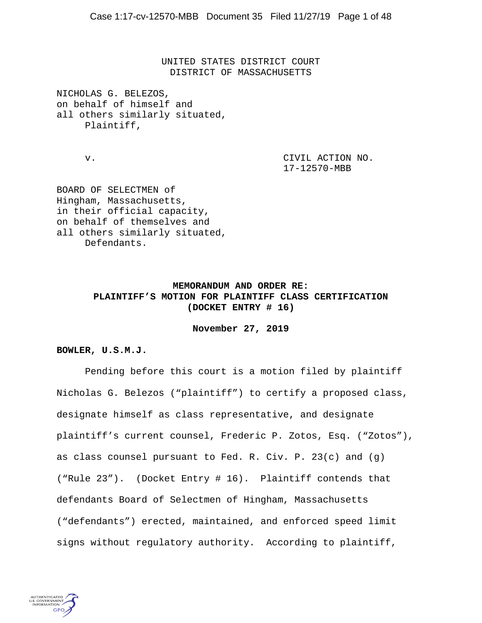UNITED STATES DISTRICT COURT DISTRICT OF MASSACHUSETTS

NICHOLAS G. BELEZOS, on behalf of himself and all others similarly situated, Plaintiff,

v. CIVIL ACTION NO. 17-12570-MBB

BOARD OF SELECTMEN of Hingham, Massachusetts, in their official capacity, on behalf of themselves and all others similarly situated, Defendants.

# **MEMORANDUM AND ORDER RE: PLAINTIFF'S MOTION FOR PLAINTIFF CLASS CERTIFICATION (DOCKET ENTRY # 16)**

**November 27, 2019** 

#### **BOWLER, U.S.M.J.**

 Pending before this court is a motion filed by plaintiff Nicholas G. Belezos ("plaintiff") to certify a proposed class, designate himself as class representative, and designate plaintiff's current counsel, Frederic P. Zotos, Esq. ("Zotos"), as class counsel pursuant to Fed. R. Civ. P. 23(c) and (g) ("Rule 23"). (Docket Entry # 16). Plaintiff contends that defendants Board of Selectmen of Hingham, Massachusetts ("defendants") erected, maintained, and enforced speed limit signs without regulatory authority. According to plaintiff,

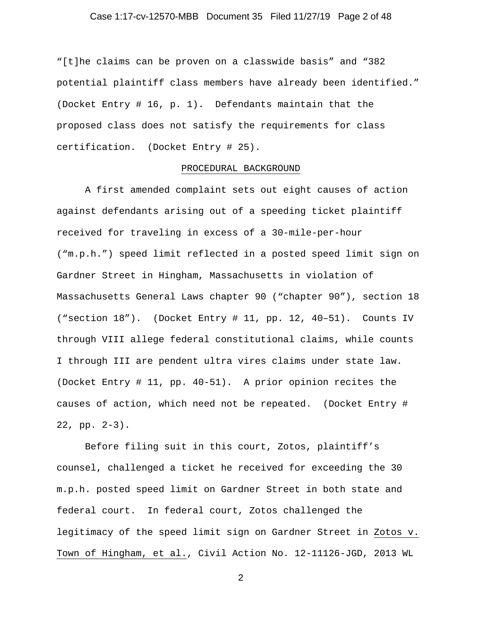## Case 1:17-cv-12570-MBB Document 35 Filed 11/27/19 Page 2 of 48

"[t]he claims can be proven on a classwide basis" and "382 potential plaintiff class members have already been identified." (Docket Entry # 16, p. 1). Defendants maintain that the proposed class does not satisfy the requirements for class certification. (Docket Entry # 25).

### PROCEDURAL BACKGROUND

 A first amended complaint sets out eight causes of action against defendants arising out of a speeding ticket plaintiff received for traveling in excess of a 30-mile-per-hour ("m.p.h.") speed limit reflected in a posted speed limit sign on Gardner Street in Hingham, Massachusetts in violation of Massachusetts General Laws chapter 90 ("chapter 90"), section 18 ("section 18"). (Docket Entry # 11, pp. 12, 40–51). Counts IV through VIII allege federal constitutional claims, while counts I through III are pendent ultra vires claims under state law. (Docket Entry # 11, pp. 40-51). A prior opinion recites the causes of action, which need not be repeated. (Docket Entry # 22, pp. 2-3).

 Before filing suit in this court, Zotos, plaintiff's counsel, challenged a ticket he received for exceeding the 30 m.p.h. posted speed limit on Gardner Street in both state and federal court. In federal court, Zotos challenged the legitimacy of the speed limit sign on Gardner Street in Zotos v. Town of Hingham, et al., Civil Action No. 12-11126-JGD, 2013 WL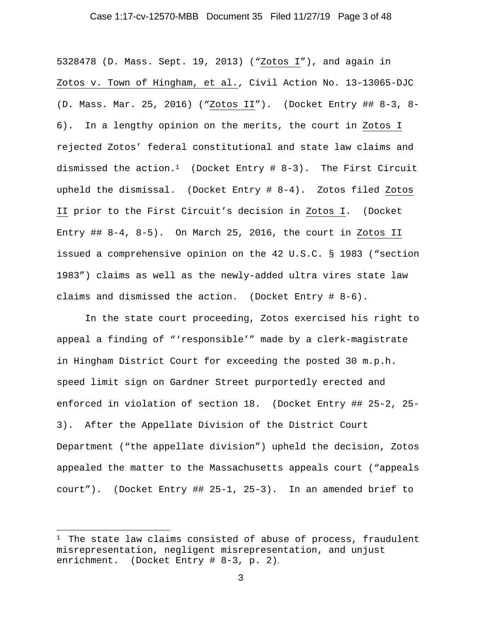#### Case 1:17-cv-12570-MBB Document 35 Filed 11/27/19 Page 3 of 48

5328478 (D. Mass. Sept. 19, 2013) ("Zotos I"), and again in Zotos v. Town of Hingham, et al., Civil Action No. 13-13065-DJC (D. Mass. Mar. 25, 2016) ("Zotos II"). (Docket Entry ## 8-3, 8- 6). In a lengthy opinion on the merits, the court in Zotos I rejected Zotos' federal constitutional and state law claims and dismissed the action.<sup>1</sup> (Docket Entry # 8-3). The First Circuit upheld the dismissal. (Docket Entry # 8-4). Zotos filed Zotos II prior to the First Circuit's decision in Zotos I. (Docket Entry ## 8-4, 8-5). On March 25, 2016, the court in Zotos II issued a comprehensive opinion on the 42 U.S.C. § 1983 ("section 1983") claims as well as the newly-added ultra vires state law claims and dismissed the action. (Docket Entry # 8-6).

 In the state court proceeding, Zotos exercised his right to appeal a finding of "'responsible'" made by a clerk-magistrate in Hingham District Court for exceeding the posted 30 m.p.h. speed limit sign on Gardner Street purportedly erected and enforced in violation of section 18. (Docket Entry ## 25-2, 25- 3). After the Appellate Division of the District Court Department ("the appellate division") upheld the decision, Zotos appealed the matter to the Massachusetts appeals court ("appeals court"). (Docket Entry ## 25-1, 25-3). In an amended brief to

 $1$  The state law claims consisted of abuse of process, fraudulent misrepresentation, negligent misrepresentation, and unjust enrichment. (Docket Entry # 8-3, p. 2).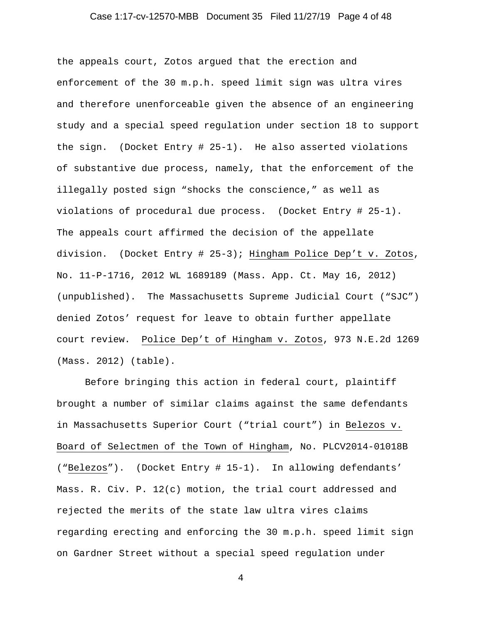## Case 1:17-cv-12570-MBB Document 35 Filed 11/27/19 Page 4 of 48

the appeals court, Zotos argued that the erection and enforcement of the 30 m.p.h. speed limit sign was ultra vires and therefore unenforceable given the absence of an engineering study and a special speed regulation under section 18 to support the sign. (Docket Entry # 25-1). He also asserted violations of substantive due process, namely, that the enforcement of the illegally posted sign "shocks the conscience," as well as violations of procedural due process. (Docket Entry # 25-1). The appeals court affirmed the decision of the appellate division. (Docket Entry # 25-3); Hingham Police Dep't v. Zotos, No. 11-P-1716, 2012 WL 1689189 (Mass. App. Ct. May 16, 2012) (unpublished). The Massachusetts Supreme Judicial Court ("SJC") denied Zotos' request for leave to obtain further appellate court review. Police Dep't of Hingham v. Zotos, 973 N.E.2d 1269 (Mass. 2012) (table).

 Before bringing this action in federal court, plaintiff brought a number of similar claims against the same defendants in Massachusetts Superior Court ("trial court") in Belezos v. Board of Selectmen of the Town of Hingham, No. PLCV2014-01018B ("Belezos"). (Docket Entry # 15-1). In allowing defendants' Mass. R. Civ. P. 12(c) motion, the trial court addressed and rejected the merits of the state law ultra vires claims regarding erecting and enforcing the 30 m.p.h. speed limit sign on Gardner Street without a special speed regulation under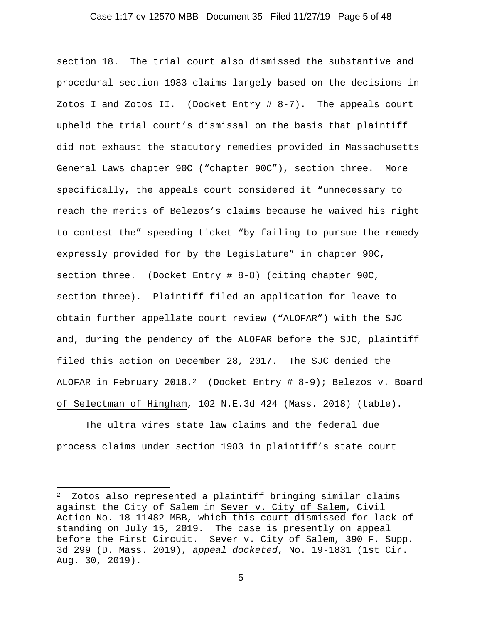#### Case 1:17-cv-12570-MBB Document 35 Filed 11/27/19 Page 5 of 48

section 18. The trial court also dismissed the substantive and procedural section 1983 claims largely based on the decisions in Zotos I and Zotos II. (Docket Entry # 8-7). The appeals court upheld the trial court's dismissal on the basis that plaintiff did not exhaust the statutory remedies provided in Massachusetts General Laws chapter 90C ("chapter 90C"), section three. More specifically, the appeals court considered it "unnecessary to reach the merits of Belezos's claims because he waived his right to contest the" speeding ticket "by failing to pursue the remedy expressly provided for by the Legislature" in chapter 90C, section three. (Docket Entry # 8-8) (citing chapter 90C, section three). Plaintiff filed an application for leave to obtain further appellate court review ("ALOFAR") with the SJC and, during the pendency of the ALOFAR before the SJC, plaintiff filed this action on December 28, 2017. The SJC denied the ALOFAR in February 2018.<sup>2</sup> (Docket Entry # 8-9); Belezos v. Board of Selectman of Hingham, 102 N.E.3d 424 (Mass. 2018) (table).

 The ultra vires state law claims and the federal due process claims under section 1983 in plaintiff's state court

<sup>2</sup> Zotos also represented a plaintiff bringing similar claims against the City of Salem in Sever v. City of Salem, Civil Action No. 18-11482-MBB, which this court dismissed for lack of standing on July 15, 2019. The case is presently on appeal before the First Circuit. Sever v. City of Salem, 390 F. Supp. 3d 299 (D. Mass. 2019), *appeal docketed*, No. 19-1831 (1st Cir. Aug. 30, 2019).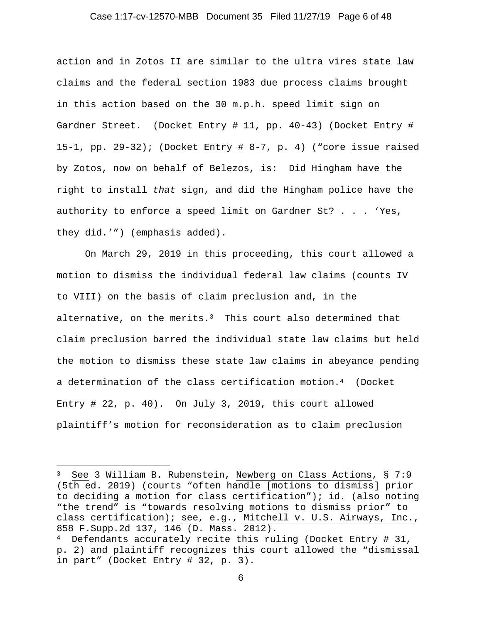#### Case 1:17-cv-12570-MBB Document 35 Filed 11/27/19 Page 6 of 48

action and in Zotos II are similar to the ultra vires state law claims and the federal section 1983 due process claims brought in this action based on the 30 m.p.h. speed limit sign on Gardner Street. (Docket Entry # 11, pp. 40-43) (Docket Entry # 15-1, pp. 29-32); (Docket Entry # 8-7, p. 4) ("core issue raised by Zotos, now on behalf of Belezos, is: Did Hingham have the right to install *that* sign, and did the Hingham police have the authority to enforce a speed limit on Gardner St? . . . 'Yes, they did.'") (emphasis added).

On March 29, 2019 in this proceeding, this court allowed a motion to dismiss the individual federal law claims (counts IV to VIII) on the basis of claim preclusion and, in the alternative, on the merits. $3$  This court also determined that claim preclusion barred the individual state law claims but held the motion to dismiss these state law claims in abeyance pending a determination of the class certification motion.4 (Docket Entry # 22, p. 40). On July 3, 2019, this court allowed plaintiff's motion for reconsideration as to claim preclusion

<sup>3</sup> See 3 William B. Rubenstein, Newberg on Class Actions, § 7:9 (5th ed. 2019) (courts "often handle [motions to dismiss] prior to deciding a motion for class certification"); id. (also noting "the trend" is "towards resolving motions to dismiss prior" to class certification); see, e.g., Mitchell v. U.S. Airways, Inc., 858 F.Supp.2d 137, 146 (D. Mass. 2012).

 $4$  Defendants accurately recite this ruling (Docket Entry # 31, p. 2) and plaintiff recognizes this court allowed the "dismissal in part" (Docket Entry # 32, p. 3).

<sup>6</sup>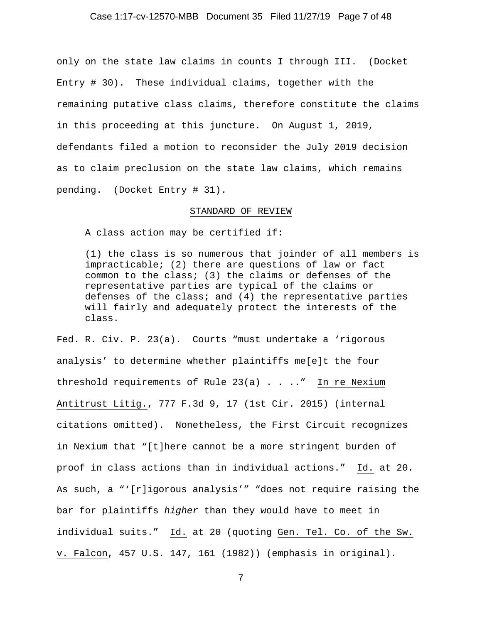#### Case 1:17-cv-12570-MBB Document 35 Filed 11/27/19 Page 7 of 48

only on the state law claims in counts I through III. (Docket Entry # 30). These individual claims, together with the remaining putative class claims, therefore constitute the claims in this proceeding at this juncture. On August 1, 2019, defendants filed a motion to reconsider the July 2019 decision as to claim preclusion on the state law claims, which remains pending. (Docket Entry # 31).

#### STANDARD OF REVIEW

A class action may be certified if:

(1) the class is so numerous that joinder of all members is impracticable; (2) there are questions of law or fact common to the class; (3) the claims or defenses of the representative parties are typical of the claims or defenses of the class; and (4) the representative parties will fairly and adequately protect the interests of the class.

Fed. R. Civ. P. 23(a). Courts "must undertake a 'rigorous analysis' to determine whether plaintiffs me[e]t the four threshold requirements of Rule 23(a) . . .." In re Nexium Antitrust Litig., 777 F.3d 9, 17 (1st Cir. 2015) (internal citations omitted). Nonetheless, the First Circuit recognizes in Nexium that "[t]here cannot be a more stringent burden of proof in class actions than in individual actions." Id. at 20. As such, a "'[r]igorous analysis'" "does not require raising the bar for plaintiffs *higher* than they would have to meet in individual suits." Id. at 20 (quoting Gen. Tel. Co. of the Sw. v. Falcon, 457 U.S. 147, 161 (1982)) (emphasis in original).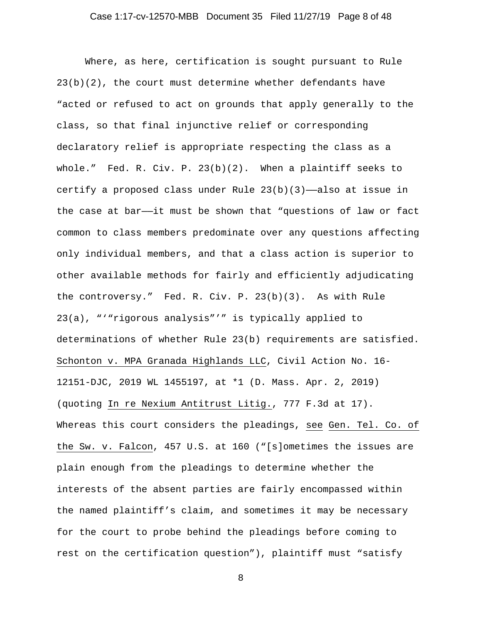## Case 1:17-cv-12570-MBB Document 35 Filed 11/27/19 Page 8 of 48

Where, as here, certification is sought pursuant to Rule 23(b)(2), the court must determine whether defendants have "acted or refused to act on grounds that apply generally to the class, so that final injunctive relief or corresponding declaratory relief is appropriate respecting the class as a whole." Fed. R. Civ. P. 23(b)(2). When a plaintiff seeks to certify a proposed class under Rule  $23(b)(3)$ —also at issue in the case at bar——it must be shown that "questions of law or fact common to class members predominate over any questions affecting only individual members, and that a class action is superior to other available methods for fairly and efficiently adjudicating the controversy." Fed. R. Civ. P. 23(b)(3). As with Rule 23(a), "'"rigorous analysis"'" is typically applied to determinations of whether Rule 23(b) requirements are satisfied. Schonton v. MPA Granada Highlands LLC, Civil Action No. 16- 12151-DJC, 2019 WL 1455197, at \*1 (D. Mass. Apr. 2, 2019) (quoting In re Nexium Antitrust Litig., 777 F.3d at 17). Whereas this court considers the pleadings, see Gen. Tel. Co. of the Sw. v. Falcon, 457 U.S. at 160 ("[s]ometimes the issues are plain enough from the pleadings to determine whether the interests of the absent parties are fairly encompassed within the named plaintiff's claim, and sometimes it may be necessary for the court to probe behind the pleadings before coming to rest on the certification question"), plaintiff must "satisfy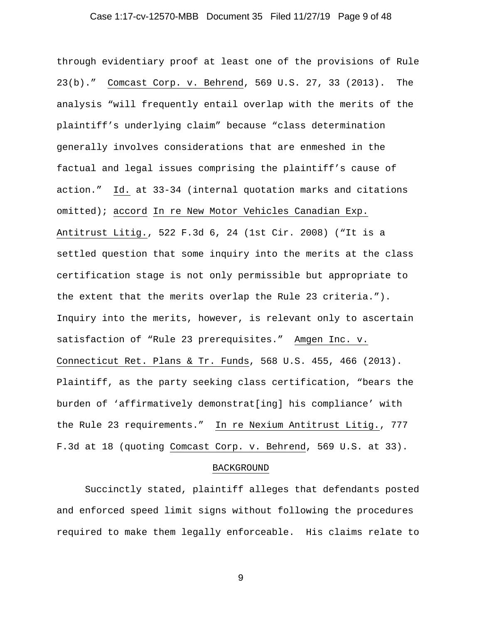## Case 1:17-cv-12570-MBB Document 35 Filed 11/27/19 Page 9 of 48

through evidentiary proof at least one of the provisions of Rule 23(b)." Comcast Corp. v. Behrend, 569 U.S. 27, 33 (2013). The analysis "will frequently entail overlap with the merits of the plaintiff's underlying claim" because "class determination generally involves considerations that are enmeshed in the factual and legal issues comprising the plaintiff's cause of action." Id. at 33-34 (internal quotation marks and citations omitted); accord In re New Motor Vehicles Canadian Exp. Antitrust Litig., 522 F.3d 6, 24 (1st Cir. 2008) ("It is a settled question that some inquiry into the merits at the class certification stage is not only permissible but appropriate to the extent that the merits overlap the Rule 23 criteria."). Inquiry into the merits, however, is relevant only to ascertain satisfaction of "Rule 23 prerequisites." Amgen Inc. v. Connecticut Ret. Plans & Tr. Funds, 568 U.S. 455, 466 (2013). Plaintiff, as the party seeking class certification, "bears the burden of 'affirmatively demonstrat[ing] his compliance' with the Rule 23 requirements." In re Nexium Antitrust Litig., 777 F.3d at 18 (quoting Comcast Corp. v. Behrend, 569 U.S. at 33).

#### BACKGROUND

 Succinctly stated, plaintiff alleges that defendants posted and enforced speed limit signs without following the procedures required to make them legally enforceable. His claims relate to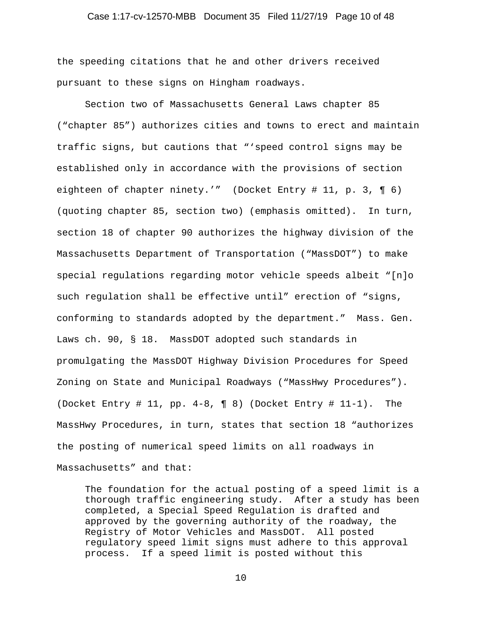#### Case 1:17-cv-12570-MBB Document 35 Filed 11/27/19 Page 10 of 48

the speeding citations that he and other drivers received pursuant to these signs on Hingham roadways.

Section two of Massachusetts General Laws chapter 85 ("chapter 85") authorizes cities and towns to erect and maintain traffic signs, but cautions that "'speed control signs may be established only in accordance with the provisions of section eighteen of chapter ninety.'" (Docket Entry # 11, p. 3, ¶ 6) (quoting chapter 85, section two) (emphasis omitted). In turn, section 18 of chapter 90 authorizes the highway division of the Massachusetts Department of Transportation ("MassDOT") to make special regulations regarding motor vehicle speeds albeit "[n]o such regulation shall be effective until" erection of "signs, conforming to standards adopted by the department." Mass. Gen. Laws ch. 90, § 18. MassDOT adopted such standards in promulgating the MassDOT Highway Division Procedures for Speed Zoning on State and Municipal Roadways ("MassHwy Procedures"). (Docket Entry # 11, pp. 4-8, ¶ 8) (Docket Entry # 11-1). The MassHwy Procedures, in turn, states that section 18 "authorizes the posting of numerical speed limits on all roadways in Massachusetts" and that:

The foundation for the actual posting of a speed limit is a thorough traffic engineering study. After a study has been completed, a Special Speed Regulation is drafted and approved by the governing authority of the roadway, the Registry of Motor Vehicles and MassDOT. All posted regulatory speed limit signs must adhere to this approval process. If a speed limit is posted without this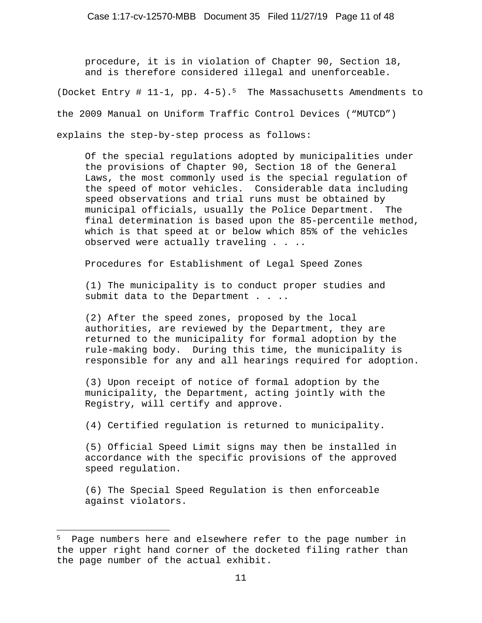procedure, it is in violation of Chapter 90, Section 18, and is therefore considered illegal and unenforceable.

(Docket Entry # 11-1, pp. 4-5).5 The Massachusetts Amendments to

the 2009 Manual on Uniform Traffic Control Devices ("MUTCD")

explains the step-by-step process as follows:

Of the special regulations adopted by municipalities under the provisions of Chapter 90, Section 18 of the General Laws, the most commonly used is the special regulation of the speed of motor vehicles. Considerable data including speed observations and trial runs must be obtained by municipal officials, usually the Police Department. The final determination is based upon the 85-percentile method, which is that speed at or below which 85% of the vehicles observed were actually traveling . . ..

Procedures for Establishment of Legal Speed Zones

(1) The municipality is to conduct proper studies and submit data to the Department . . ..

(2) After the speed zones, proposed by the local authorities, are reviewed by the Department, they are returned to the municipality for formal adoption by the rule-making body. During this time, the municipality is responsible for any and all hearings required for adoption.

(3) Upon receipt of notice of formal adoption by the municipality, the Department, acting jointly with the Registry, will certify and approve.

(4) Certified regulation is returned to municipality.

(5) Official Speed Limit signs may then be installed in accordance with the specific provisions of the approved speed regulation.

(6) The Special Speed Regulation is then enforceable against violators.

<sup>5</sup> Page numbers here and elsewhere refer to the page number in the upper right hand corner of the docketed filing rather than the page number of the actual exhibit.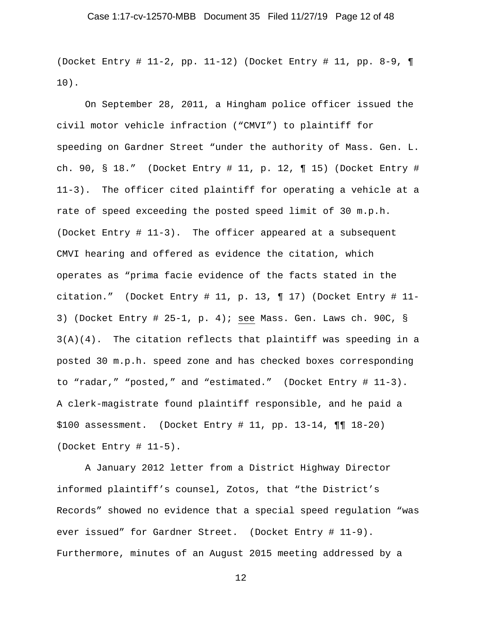(Docket Entry # 11-2, pp. 11-12) (Docket Entry # 11, pp. 8-9, ¶ 10).

On September 28, 2011, a Hingham police officer issued the civil motor vehicle infraction ("CMVI") to plaintiff for speeding on Gardner Street "under the authority of Mass. Gen. L. ch. 90, § 18." (Docket Entry # 11, p. 12, ¶ 15) (Docket Entry # 11-3). The officer cited plaintiff for operating a vehicle at a rate of speed exceeding the posted speed limit of 30 m.p.h. (Docket Entry # 11-3). The officer appeared at a subsequent CMVI hearing and offered as evidence the citation, which operates as "prima facie evidence of the facts stated in the citation." (Docket Entry # 11, p. 13, ¶ 17) (Docket Entry # 11- 3) (Docket Entry # 25-1, p. 4); see Mass. Gen. Laws ch. 90C, § 3(A)(4). The citation reflects that plaintiff was speeding in a posted 30 m.p.h. speed zone and has checked boxes corresponding to "radar," "posted," and "estimated." (Docket Entry # 11-3). A clerk-magistrate found plaintiff responsible, and he paid a  $$100$  assessment. (Docket Entry # 11, pp. 13-14, ¶¶ 18-20) (Docket Entry # 11-5).

 A January 2012 letter from a District Highway Director informed plaintiff's counsel, Zotos, that "the District's Records" showed no evidence that a special speed regulation "was ever issued" for Gardner Street. (Docket Entry # 11-9). Furthermore, minutes of an August 2015 meeting addressed by a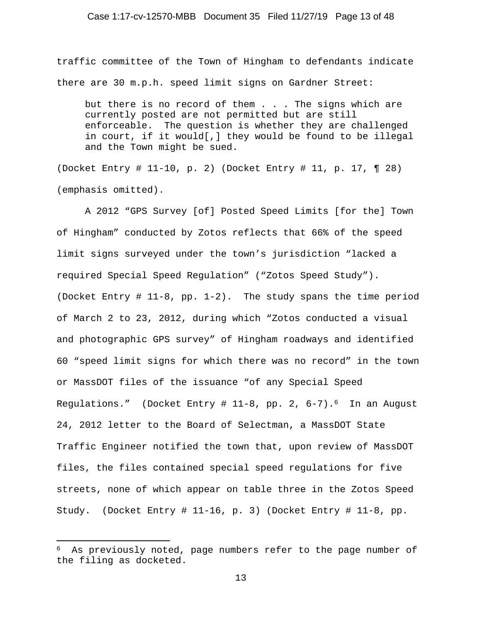#### Case 1:17-cv-12570-MBB Document 35 Filed 11/27/19 Page 13 of 48

traffic committee of the Town of Hingham to defendants indicate there are 30 m.p.h. speed limit signs on Gardner Street:

but there is no record of them . . . The signs which are currently posted are not permitted but are still enforceable. The question is whether they are challenged in court, if it would[,] they would be found to be illegal and the Town might be sued.

(Docket Entry # 11-10, p. 2) (Docket Entry # 11, p. 17, ¶ 28) (emphasis omitted).

 A 2012 "GPS Survey [of] Posted Speed Limits [for the] Town of Hingham" conducted by Zotos reflects that 66% of the speed limit signs surveyed under the town's jurisdiction "lacked a required Special Speed Regulation" ("Zotos Speed Study"). (Docket Entry # 11-8, pp. 1-2). The study spans the time period of March 2 to 23, 2012, during which "Zotos conducted a visual and photographic GPS survey" of Hingham roadways and identified 60 "speed limit signs for which there was no record" in the town or MassDOT files of the issuance "of any Special Speed Regulations." (Docket Entry  $\#$  11-8, pp. 2, 6-7).<sup>6</sup> In an August 24, 2012 letter to the Board of Selectman, a MassDOT State Traffic Engineer notified the town that, upon review of MassDOT files, the files contained special speed regulations for five streets, none of which appear on table three in the Zotos Speed Study. (Docket Entry # 11-16, p. 3) (Docket Entry # 11-8, pp.

<sup>6</sup> As previously noted, page numbers refer to the page number of the filing as docketed.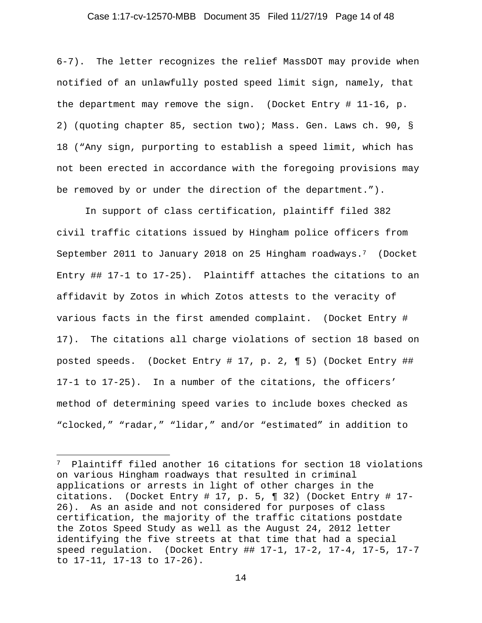#### Case 1:17-cv-12570-MBB Document 35 Filed 11/27/19 Page 14 of 48

6-7). The letter recognizes the relief MassDOT may provide when notified of an unlawfully posted speed limit sign, namely, that the department may remove the sign. (Docket Entry # 11-16, p. 2) (quoting chapter 85, section two); Mass. Gen. Laws ch. 90, § 18 ("Any sign, purporting to establish a speed limit, which has not been erected in accordance with the foregoing provisions may be removed by or under the direction of the department.").

 In support of class certification, plaintiff filed 382 civil traffic citations issued by Hingham police officers from September 2011 to January 2018 on 25 Hingham roadways.7 (Docket Entry ## 17-1 to 17-25). Plaintiff attaches the citations to an affidavit by Zotos in which Zotos attests to the veracity of various facts in the first amended complaint. (Docket Entry # 17). The citations all charge violations of section 18 based on posted speeds. (Docket Entry # 17, p. 2, ¶ 5) (Docket Entry ## 17-1 to 17-25). In a number of the citations, the officers' method of determining speed varies to include boxes checked as "clocked," "radar," "lidar," and/or "estimated" in addition to

<sup>7</sup> Plaintiff filed another 16 citations for section 18 violations on various Hingham roadways that resulted in criminal applications or arrests in light of other charges in the citations. (Docket Entry # 17, p. 5, ¶ 32) (Docket Entry # 17- 26). As an aside and not considered for purposes of class certification, the majority of the traffic citations postdate the Zotos Speed Study as well as the August 24, 2012 letter identifying the five streets at that time that had a special speed regulation. (Docket Entry ## 17-1, 17-2, 17-4, 17-5, 17-7 to 17-11, 17-13 to 17-26).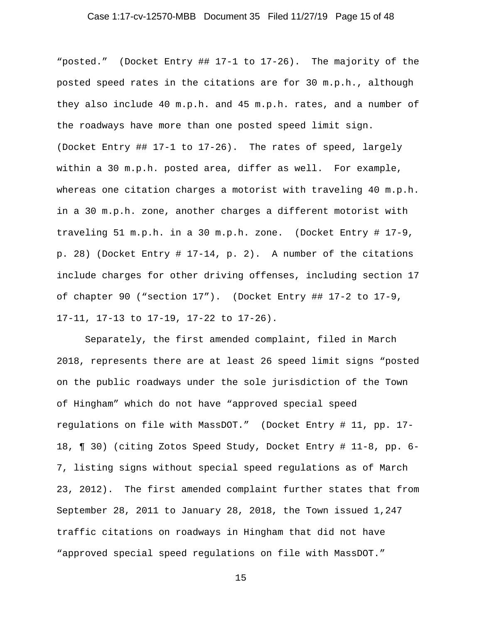## Case 1:17-cv-12570-MBB Document 35 Filed 11/27/19 Page 15 of 48

"posted." (Docket Entry ## 17-1 to 17-26). The majority of the posted speed rates in the citations are for 30 m.p.h., although they also include 40 m.p.h. and 45 m.p.h. rates, and a number of the roadways have more than one posted speed limit sign. (Docket Entry ## 17-1 to 17-26). The rates of speed, largely within a 30 m.p.h. posted area, differ as well. For example, whereas one citation charges a motorist with traveling 40 m.p.h. in a 30 m.p.h. zone, another charges a different motorist with traveling 51 m.p.h. in a 30 m.p.h. zone. (Docket Entry # 17-9, p. 28) (Docket Entry # 17-14, p. 2). A number of the citations include charges for other driving offenses, including section 17 of chapter 90 ("section 17"). (Docket Entry ## 17-2 to 17-9, 17-11, 17-13 to 17-19, 17-22 to 17-26).

 Separately, the first amended complaint, filed in March 2018, represents there are at least 26 speed limit signs "posted on the public roadways under the sole jurisdiction of the Town of Hingham" which do not have "approved special speed regulations on file with MassDOT." (Docket Entry # 11, pp. 17- 18, ¶ 30) (citing Zotos Speed Study, Docket Entry # 11-8, pp. 6- 7, listing signs without special speed regulations as of March 23, 2012). The first amended complaint further states that from September 28, 2011 to January 28, 2018, the Town issued 1,247 traffic citations on roadways in Hingham that did not have "approved special speed regulations on file with MassDOT."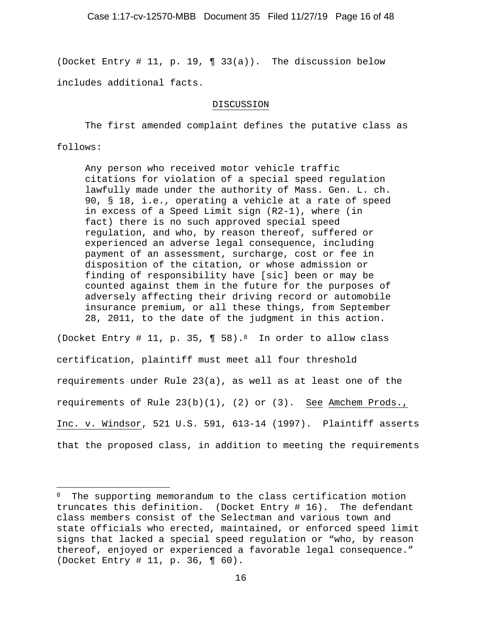(Docket Entry # 11, p. 19,  $\P$  33(a)). The discussion below includes additional facts.

### DISCUSSION

The first amended complaint defines the putative class as follows:

Any person who received motor vehicle traffic citations for violation of a special speed regulation lawfully made under the authority of Mass. Gen. L. ch. 90, § 18, i.e., operating a vehicle at a rate of speed in excess of a Speed Limit sign (R2-1), where (in fact) there is no such approved special speed regulation, and who, by reason thereof, suffered or experienced an adverse legal consequence, including payment of an assessment, surcharge, cost or fee in disposition of the citation, or whose admission or finding of responsibility have [sic] been or may be counted against them in the future for the purposes of adversely affecting their driving record or automobile insurance premium, or all these things, from September 28, 2011, to the date of the judgment in this action.

(Docket Entry # 11, p. 35,  $\P$  58).<sup>8</sup> In order to allow class certification, plaintiff must meet all four threshold requirements under Rule 23(a), as well as at least one of the requirements of Rule 23(b)(1), (2) or (3). See Amchem Prods., Inc. v. Windsor, 521 U.S. 591, 613-14 (1997). Plaintiff asserts that the proposed class, in addition to meeting the requirements

<sup>&</sup>lt;sup>8</sup> The supporting memorandum to the class certification motion truncates this definition. (Docket Entry # 16). The defendant class members consist of the Selectman and various town and state officials who erected, maintained, or enforced speed limit signs that lacked a special speed regulation or "who, by reason thereof, enjoyed or experienced a favorable legal consequence." (Docket Entry # 11, p. 36, ¶ 60).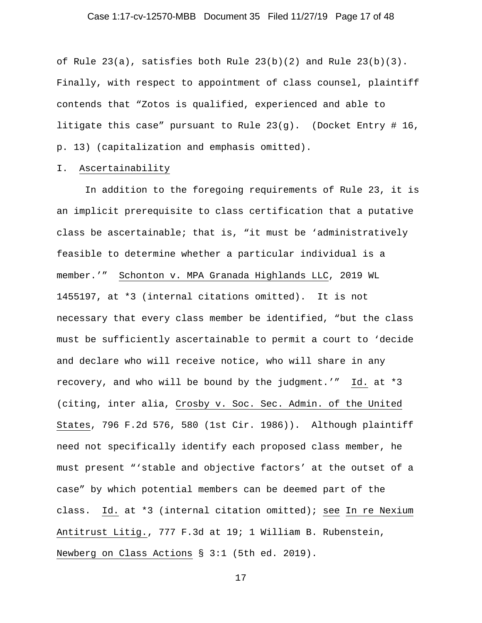## Case 1:17-cv-12570-MBB Document 35 Filed 11/27/19 Page 17 of 48

of Rule  $23(a)$ , satisfies both Rule  $23(b)(2)$  and Rule  $23(b)(3)$ . Finally, with respect to appointment of class counsel, plaintiff contends that "Zotos is qualified, experienced and able to litigate this case" pursuant to Rule 23(g). (Docket Entry # 16, p. 13) (capitalization and emphasis omitted).

#### I. Ascertainability

In addition to the foregoing requirements of Rule 23, it is an implicit prerequisite to class certification that a putative class be ascertainable; that is, "it must be 'administratively feasible to determine whether a particular individual is a member.'" Schonton v. MPA Granada Highlands LLC, 2019 WL 1455197, at \*3 (internal citations omitted). It is not necessary that every class member be identified, "but the class must be sufficiently ascertainable to permit a court to 'decide and declare who will receive notice, who will share in any recovery, and who will be bound by the judgment.'" Id. at \*3 (citing, inter alia, Crosby v. Soc. Sec. Admin. of the United States, 796 F.2d 576, 580 (1st Cir. 1986)). Although plaintiff need not specifically identify each proposed class member, he must present "'stable and objective factors' at the outset of a case" by which potential members can be deemed part of the class. Id. at \*3 (internal citation omitted); see In re Nexium Antitrust Litig., 777 F.3d at 19; 1 William B. Rubenstein, Newberg on Class Actions § 3:1 (5th ed. 2019).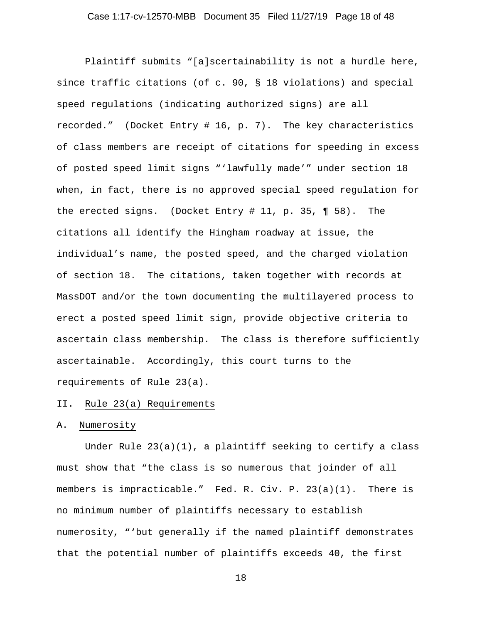Plaintiff submits "[a]scertainability is not a hurdle here, since traffic citations (of c. 90, § 18 violations) and special speed regulations (indicating authorized signs) are all recorded." (Docket Entry # 16, p. 7). The key characteristics of class members are receipt of citations for speeding in excess of posted speed limit signs "'lawfully made'" under section 18 when, in fact, there is no approved special speed regulation for the erected signs. (Docket Entry # 11, p. 35, ¶ 58). The citations all identify the Hingham roadway at issue, the individual's name, the posted speed, and the charged violation of section 18. The citations, taken together with records at MassDOT and/or the town documenting the multilayered process to erect a posted speed limit sign, provide objective criteria to ascertain class membership. The class is therefore sufficiently ascertainable. Accordingly, this court turns to the requirements of Rule 23(a).

# II. Rule 23(a) Requirements

#### A. Numerosity

 Under Rule 23(a)(1), a plaintiff seeking to certify a class must show that "the class is so numerous that joinder of all members is impracticable." Fed. R. Civ. P. 23(a)(1). There is no minimum number of plaintiffs necessary to establish numerosity, "'but generally if the named plaintiff demonstrates that the potential number of plaintiffs exceeds 40, the first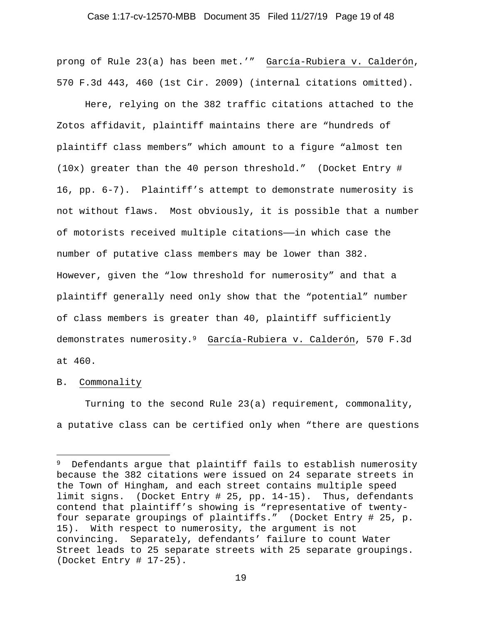#### Case 1:17-cv-12570-MBB Document 35 Filed 11/27/19 Page 19 of 48

prong of Rule 23(a) has been met.'" García-Rubiera v. Calderón, 570 F.3d 443, 460 (1st Cir. 2009) (internal citations omitted).

 Here, relying on the 382 traffic citations attached to the Zotos affidavit, plaintiff maintains there are "hundreds of plaintiff class members" which amount to a figure "almost ten (10x) greater than the 40 person threshold." (Docket Entry # 16, pp. 6-7). Plaintiff's attempt to demonstrate numerosity is not without flaws. Most obviously, it is possible that a number of motorists received multiple citations——in which case the number of putative class members may be lower than 382. However, given the "low threshold for numerosity" and that a plaintiff generally need only show that the "potential" number of class members is greater than 40, plaintiff sufficiently demonstrates numerosity.9 García-Rubiera v. Calderón, 570 F.3d at 460.

### B. Commonality

 Turning to the second Rule 23(a) requirement, commonality, a putative class can be certified only when "there are questions

<sup>9</sup> Defendants argue that plaintiff fails to establish numerosity because the 382 citations were issued on 24 separate streets in the Town of Hingham, and each street contains multiple speed limit signs. (Docket Entry # 25, pp. 14-15). Thus, defendants contend that plaintiff's showing is "representative of twentyfour separate groupings of plaintiffs." (Docket Entry # 25, p. 15). With respect to numerosity, the argument is not convincing. Separately, defendants' failure to count Water Street leads to 25 separate streets with 25 separate groupings. (Docket Entry # 17-25).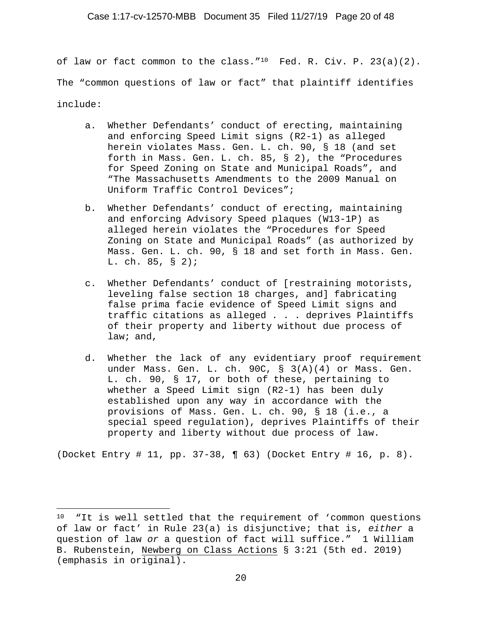of law or fact common to the class.  $10$  Fed. R. Civ. P. 23(a)(2). The "common questions of law or fact" that plaintiff identifies include:

- a. Whether Defendants' conduct of erecting, maintaining and enforcing Speed Limit signs (R2-1) as alleged herein violates Mass. Gen. L. ch. 90, § 18 (and set forth in Mass. Gen. L. ch. 85, § 2), the "Procedures for Speed Zoning on State and Municipal Roads", and "The Massachusetts Amendments to the 2009 Manual on Uniform Traffic Control Devices";
- b. Whether Defendants' conduct of erecting, maintaining and enforcing Advisory Speed plaques (W13-1P) as alleged herein violates the "Procedures for Speed Zoning on State and Municipal Roads" (as authorized by Mass. Gen. L. ch. 90, § 18 and set forth in Mass. Gen. L. ch. 85, § 2);
- c. Whether Defendants' conduct of [restraining motorists, leveling false section 18 charges, and] fabricating false prima facie evidence of Speed Limit signs and traffic citations as alleged . . . deprives Plaintiffs of their property and liberty without due process of law; and,
- d. Whether the lack of any evidentiary proof requirement under Mass. Gen. L. ch. 90C, § 3(A)(4) or Mass. Gen. L. ch. 90, § 17, or both of these, pertaining to whether a Speed Limit sign (R2-1) has been duly established upon any way in accordance with the provisions of Mass. Gen. L. ch. 90, § 18 (i.e., a special speed regulation), deprives Plaintiffs of their property and liberty without due process of law.

(Docket Entry # 11, pp. 37-38, ¶ 63) (Docket Entry # 16, p. 8).

<sup>10 &</sup>quot;It is well settled that the requirement of 'common questions of law or fact' in Rule 23(a) is disjunctive; that is, *either* a question of law *or* a question of fact will suffice." 1 William B. Rubenstein, Newberg on Class Actions § 3:21 (5th ed. 2019) (emphasis in original).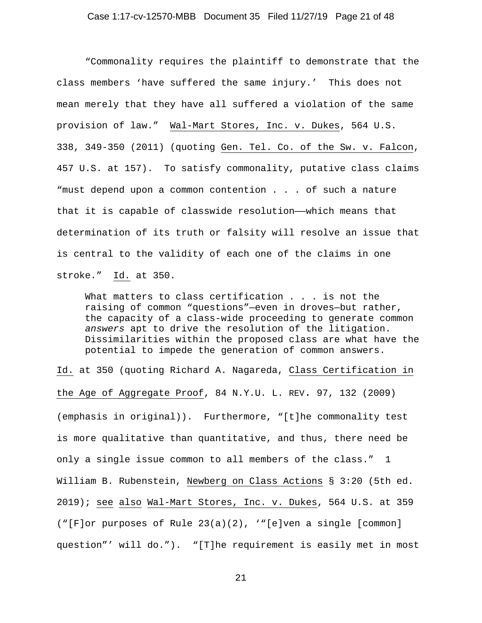"Commonality requires the plaintiff to demonstrate that the class members 'have suffered the same injury.' This does not mean merely that they have all suffered a violation of the same provision of law." Wal-Mart Stores, Inc. v. Dukes, 564 U.S. 338, 349-350 (2011) (quoting Gen. Tel. Co. of the Sw. v. Falcon, 457 U.S. at 157). To satisfy commonality, putative class claims "must depend upon a common contention . . . of such a nature that it is capable of classwide resolution—which means that determination of its truth or falsity will resolve an issue that is central to the validity of each one of the claims in one stroke." Id. at 350.

What matters to class certification . . . is not the raising of common "questions"—even in droves—but rather, the capacity of a class-wide proceeding to generate common *answers* apt to drive the resolution of the litigation. Dissimilarities within the proposed class are what have the potential to impede the generation of common answers.

Id. at 350 (quoting Richard A. Nagareda, Class Certification in the Age of Aggregate Proof, 84 N.Y.U. L. REV. 97, 132 (2009) (emphasis in original)). Furthermore, "[t]he commonality test is more qualitative than quantitative, and thus, there need be only a single issue common to all members of the class." 1 William B. Rubenstein, Newberg on Class Actions § 3:20 (5th ed. 2019); see also Wal-Mart Stores, Inc. v. Dukes, 564 U.S. at 359 ("[F]or purposes of Rule 23(a)(2), '"[e]ven a single [common] question"' will do."). "[T]he requirement is easily met in most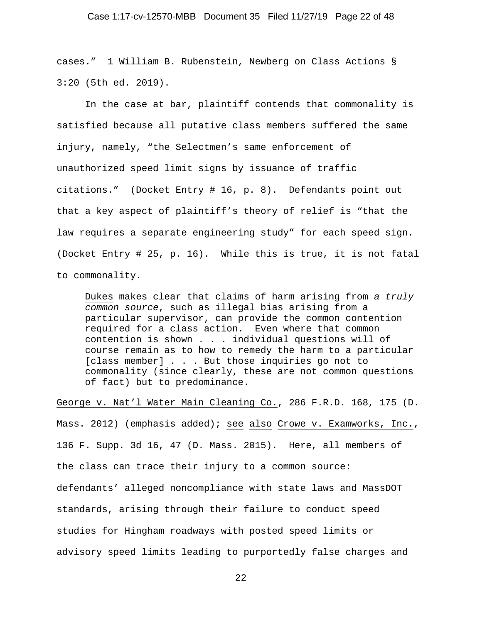#### Case 1:17-cv-12570-MBB Document 35 Filed 11/27/19 Page 22 of 48

cases." 1 William B. Rubenstein, Newberg on Class Actions § 3:20 (5th ed. 2019).

 In the case at bar, plaintiff contends that commonality is satisfied because all putative class members suffered the same injury, namely, "the Selectmen's same enforcement of unauthorized speed limit signs by issuance of traffic citations." (Docket Entry # 16, p. 8). Defendants point out that a key aspect of plaintiff's theory of relief is "that the law requires a separate engineering study" for each speed sign. (Docket Entry # 25, p. 16). While this is true, it is not fatal to commonality.

Dukes makes clear that claims of harm arising from *a truly common source*, such as illegal bias arising from a particular supervisor, can provide the common contention required for a class action. Even where that common contention is shown . . . individual questions will of course remain as to how to remedy the harm to a particular [class member] . . . But those inquiries go not to commonality (since clearly, these are not common questions of fact) but to predominance.

George v. Nat'l Water Main Cleaning Co., 286 F.R.D. 168, 175 (D.

Mass. 2012) (emphasis added); see also Crowe v. Examworks, Inc., 136 F. Supp. 3d 16, 47 (D. Mass. 2015). Here, all members of the class can trace their injury to a common source: defendants' alleged noncompliance with state laws and MassDOT standards, arising through their failure to conduct speed studies for Hingham roadways with posted speed limits or advisory speed limits leading to purportedly false charges and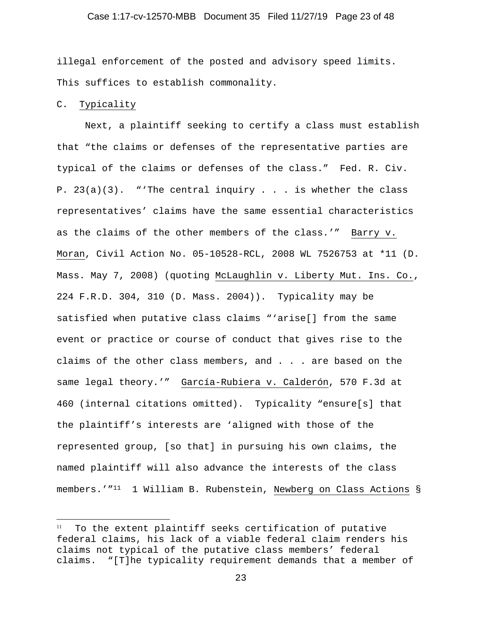#### Case 1:17-cv-12570-MBB Document 35 Filed 11/27/19 Page 23 of 48

illegal enforcement of the posted and advisory speed limits. This suffices to establish commonality.

# C. Typicality

 Next, a plaintiff seeking to certify a class must establish that "the claims or defenses of the representative parties are typical of the claims or defenses of the class." Fed. R. Civ. P.  $23(a)(3)$ . "'The central inquiry . . . is whether the class representatives' claims have the same essential characteristics as the claims of the other members of the class.'" Barry v. Moran, Civil Action No. 05-10528-RCL, 2008 WL 7526753 at \*11 (D. Mass. May 7, 2008) (quoting McLaughlin v. Liberty Mut. Ins. Co., 224 F.R.D. 304, 310 (D. Mass. 2004)). Typicality may be satisfied when putative class claims "'arise[] from the same event or practice or course of conduct that gives rise to the claims of the other class members, and . . . are based on the same legal theory.'" García-Rubiera v. Calderón, 570 F.3d at 460 (internal citations omitted). Typicality "ensure[s] that the plaintiff's interests are 'aligned with those of the represented group, [so that] in pursuing his own claims, the named plaintiff will also advance the interests of the class members.'"<sup>11</sup> 1 William B. Rubenstein, Newberg on Class Actions §

<sup>&</sup>lt;sup>11</sup> To the extent plaintiff seeks certification of putative federal claims, his lack of a viable federal claim renders his claims not typical of the putative class members' federal claims. "[T]he typicality requirement demands that a member of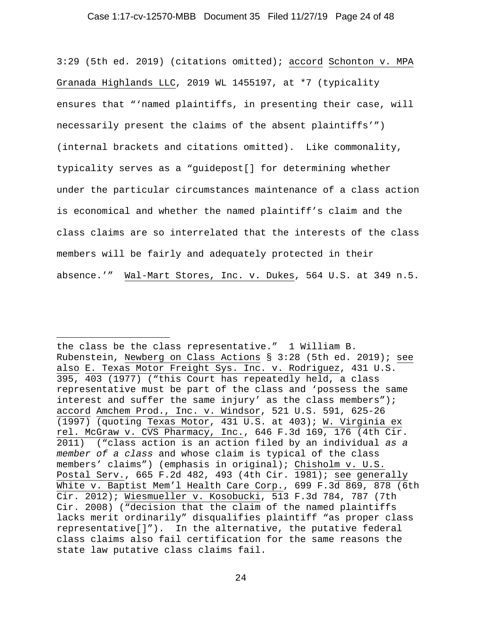#### Case 1:17-cv-12570-MBB Document 35 Filed 11/27/19 Page 24 of 48

3:29 (5th ed. 2019) (citations omitted); accord Schonton v. MPA Granada Highlands LLC, 2019 WL 1455197, at \*7 (typicality ensures that "'named plaintiffs, in presenting their case, will necessarily present the claims of the absent plaintiffs'") (internal brackets and citations omitted). Like commonality, typicality serves as a "guidepost[] for determining whether under the particular circumstances maintenance of a class action is economical and whether the named plaintiff's claim and the class claims are so interrelated that the interests of the class members will be fairly and adequately protected in their absence.'" Wal-Mart Stores, Inc. v. Dukes, 564 U.S. at 349 n.5.

the class be the class representative." 1 William B. Rubenstein, Newberg on Class Actions § 3:28 (5th ed. 2019); see also E. Texas Motor Freight Sys. Inc. v. Rodriguez, 431 U.S. 395, 403 (1977) ("this Court has repeatedly held, a class representative must be part of the class and 'possess the same interest and suffer the same injury' as the class members"); accord Amchem Prod., Inc. v. Windsor, 521 U.S. 591, 625-26 (1997) (quoting Texas Motor, 431 U.S. at 403); W. Virginia ex rel. McGraw v. CVS Pharmacy, Inc., 646 F.3d 169, 176 (4th Cir. 2011) ("class action is an action filed by an individual *as a member of a class* and whose claim is typical of the class members' claims") (emphasis in original); Chisholm v. U.S. Postal Serv., 665 F.2d 482, 493 (4th Cir. 1981); see generally White v. Baptist Mem'l Health Care Corp., 699 F.3d 869, 878 (6th Cir. 2012); Wiesmueller v. Kosobucki, 513 F.3d 784, 787 (7th Cir. 2008) ("decision that the claim of the named plaintiffs lacks merit ordinarily" disqualifies plaintiff "as proper class representative[]"). In the alternative, the putative federal class claims also fail certification for the same reasons the state law putative class claims fail.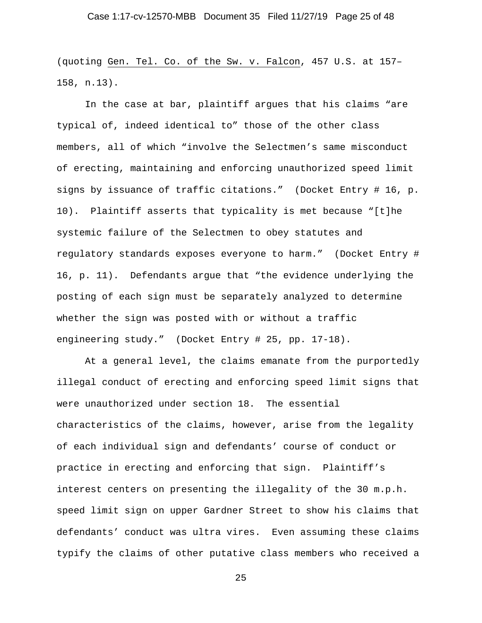(quoting Gen. Tel. Co. of the Sw. v. Falcon, 457 U.S. at 157– 158, n.13).

 In the case at bar, plaintiff argues that his claims "are typical of, indeed identical to" those of the other class members, all of which "involve the Selectmen's same misconduct of erecting, maintaining and enforcing unauthorized speed limit signs by issuance of traffic citations." (Docket Entry # 16, p. 10). Plaintiff asserts that typicality is met because "[t]he systemic failure of the Selectmen to obey statutes and regulatory standards exposes everyone to harm." (Docket Entry # 16, p. 11). Defendants argue that "the evidence underlying the posting of each sign must be separately analyzed to determine whether the sign was posted with or without a traffic engineering study." (Docket Entry # 25, pp. 17-18).

 At a general level, the claims emanate from the purportedly illegal conduct of erecting and enforcing speed limit signs that were unauthorized under section 18. The essential characteristics of the claims, however, arise from the legality of each individual sign and defendants' course of conduct or practice in erecting and enforcing that sign. Plaintiff's interest centers on presenting the illegality of the 30 m.p.h. speed limit sign on upper Gardner Street to show his claims that defendants' conduct was ultra vires. Even assuming these claims typify the claims of other putative class members who received a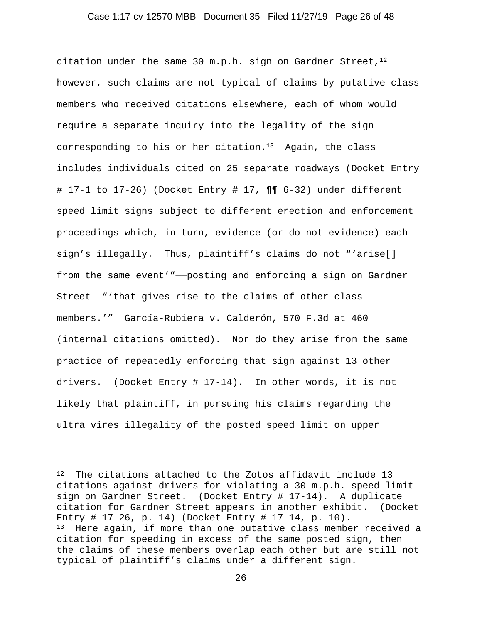#### Case 1:17-cv-12570-MBB Document 35 Filed 11/27/19 Page 26 of 48

citation under the same 30 m.p.h. sign on Gardner Street,  $1^2$ however, such claims are not typical of claims by putative class members who received citations elsewhere, each of whom would require a separate inquiry into the legality of the sign corresponding to his or her citation.13 Again, the class includes individuals cited on 25 separate roadways (Docket Entry # 17-1 to 17-26) (Docket Entry # 17, ¶¶ 6-32) under different speed limit signs subject to different erection and enforcement proceedings which, in turn, evidence (or do not evidence) each sign's illegally. Thus, plaintiff's claims do not "'arise[] from the same event'"——posting and enforcing a sign on Gardner Street——"'that gives rise to the claims of other class members.'" García-Rubiera v. Calderón, 570 F.3d at 460 (internal citations omitted). Nor do they arise from the same practice of repeatedly enforcing that sign against 13 other drivers. (Docket Entry # 17-14). In other words, it is not likely that plaintiff, in pursuing his claims regarding the ultra vires illegality of the posted speed limit on upper

<sup>12</sup> The citations attached to the Zotos affidavit include 13 citations against drivers for violating a 30 m.p.h. speed limit sign on Gardner Street. (Docket Entry # 17-14). A duplicate citation for Gardner Street appears in another exhibit. (Docket Entry # 17-26, p. 14) (Docket Entry # 17-14, p. 10). 13 Here again, if more than one putative class member received a citation for speeding in excess of the same posted sign, then the claims of these members overlap each other but are still not typical of plaintiff's claims under a different sign.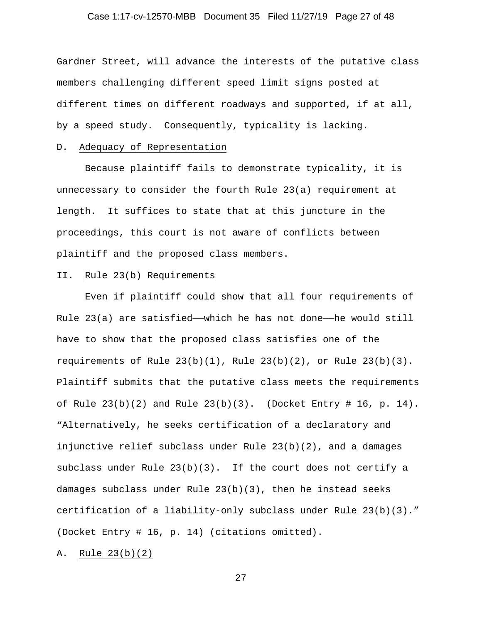## Case 1:17-cv-12570-MBB Document 35 Filed 11/27/19 Page 27 of 48

Gardner Street, will advance the interests of the putative class members challenging different speed limit signs posted at different times on different roadways and supported, if at all, by a speed study. Consequently, typicality is lacking.

### D. Adequacy of Representation

 Because plaintiff fails to demonstrate typicality, it is unnecessary to consider the fourth Rule 23(a) requirement at length. It suffices to state that at this juncture in the proceedings, this court is not aware of conflicts between plaintiff and the proposed class members.

#### II. Rule 23(b) Requirements

Even if plaintiff could show that all four requirements of Rule  $23(a)$  are satisfied—which he has not done—he would still have to show that the proposed class satisfies one of the requirements of Rule  $23(b)(1)$ , Rule  $23(b)(2)$ , or Rule  $23(b)(3)$ . Plaintiff submits that the putative class meets the requirements of Rule  $23(b)(2)$  and Rule  $23(b)(3)$ . (Docket Entry # 16, p. 14). "Alternatively, he seeks certification of a declaratory and injunctive relief subclass under Rule 23(b)(2), and a damages subclass under Rule 23(b)(3). If the court does not certify a damages subclass under Rule 23(b)(3), then he instead seeks certification of a liability-only subclass under Rule 23(b)(3)." (Docket Entry # 16, p. 14) (citations omitted).

A. Rule 23(b)(2)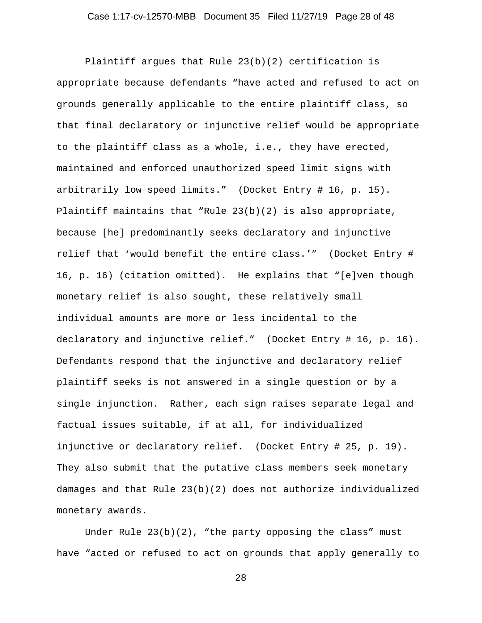Plaintiff argues that Rule 23(b)(2) certification is appropriate because defendants "have acted and refused to act on grounds generally applicable to the entire plaintiff class, so that final declaratory or injunctive relief would be appropriate to the plaintiff class as a whole, i.e., they have erected, maintained and enforced unauthorized speed limit signs with arbitrarily low speed limits." (Docket Entry # 16, p. 15). Plaintiff maintains that "Rule 23(b)(2) is also appropriate, because [he] predominantly seeks declaratory and injunctive relief that 'would benefit the entire class.'" (Docket Entry # 16, p. 16) (citation omitted). He explains that "[e]ven though monetary relief is also sought, these relatively small individual amounts are more or less incidental to the declaratory and injunctive relief." (Docket Entry # 16, p. 16). Defendants respond that the injunctive and declaratory relief plaintiff seeks is not answered in a single question or by a single injunction. Rather, each sign raises separate legal and factual issues suitable, if at all, for individualized injunctive or declaratory relief. (Docket Entry # 25, p. 19). They also submit that the putative class members seek monetary damages and that Rule 23(b)(2) does not authorize individualized monetary awards.

Under Rule  $23(b)(2)$ , "the party opposing the class" must have "acted or refused to act on grounds that apply generally to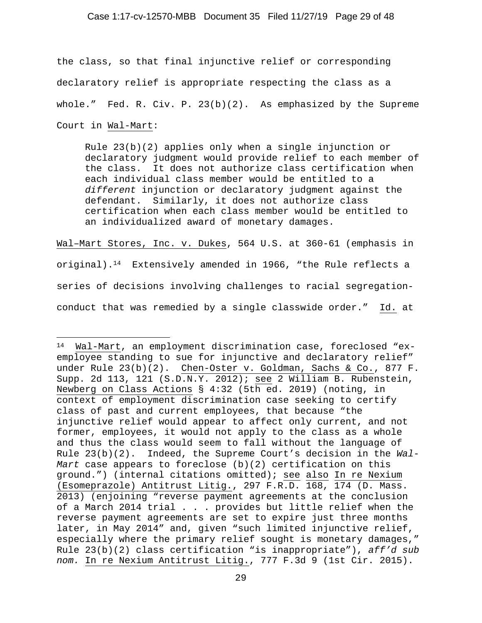#### Case 1:17-cv-12570-MBB Document 35 Filed 11/27/19 Page 29 of 48

the class, so that final injunctive relief or corresponding declaratory relief is appropriate respecting the class as a whole." Fed. R. Civ. P.  $23(b)(2)$ . As emphasized by the Supreme Court in Wal-Mart:

Rule 23(b)(2) applies only when a single injunction or declaratory judgment would provide relief to each member of the class. It does not authorize class certification when each individual class member would be entitled to a *different* injunction or declaratory judgment against the defendant. Similarly, it does not authorize class certification when each class member would be entitled to an individualized award of monetary damages.

Wal–Mart Stores, Inc. v. Dukes, 564 U.S. at 360-61 (emphasis in original).<sup>14</sup> Extensively amended in 1966, "the Rule reflects a series of decisions involving challenges to racial segregationconduct that was remedied by a single classwide order." Id. at

<sup>14</sup> Wal-Mart, an employment discrimination case, foreclosed "exemployee standing to sue for injunctive and declaratory relief" under Rule 23(b)(2). Chen-Oster v. Goldman, Sachs & Co., 877 F. Supp. 2d 113, 121 (S.D.N.Y. 2012); see 2 William B. Rubenstein, Newberg on Class Actions § 4:32 (5th ed. 2019) (noting, in context of employment discrimination case seeking to certify class of past and current employees, that because "the injunctive relief would appear to affect only current, and not former, employees, it would not apply to the class as a whole and thus the class would seem to fall without the language of Rule 23(b)(2). Indeed, the Supreme Court's decision in the *Wal-Mart* case appears to foreclose (b)(2) certification on this ground.") (internal citations omitted); see also In re Nexium (Esomeprazole) Antitrust Litig., 297 F.R.D. 168, 174 (D. Mass. 2013) (enjoining "reverse payment agreements at the conclusion of a March 2014 trial . . . provides but little relief when the reverse payment agreements are set to expire just three months later, in May 2014" and, given "such limited injunctive relief, especially where the primary relief sought is monetary damages," Rule 23(b)(2) class certification "is inappropriate"), *aff'd sub nom.* In re Nexium Antitrust Litig., 777 F.3d 9 (1st Cir. 2015).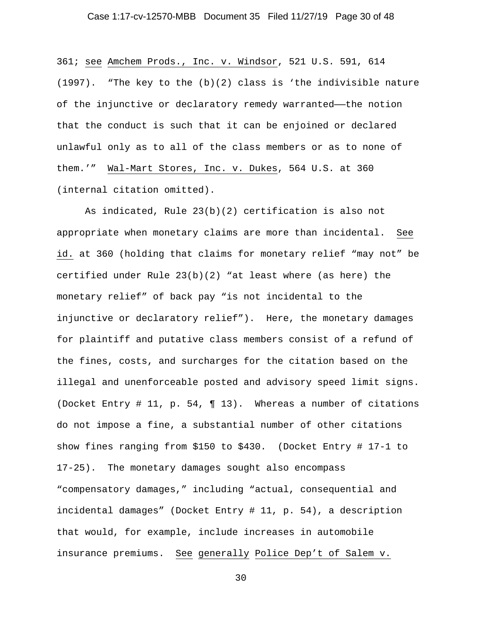## Case 1:17-cv-12570-MBB Document 35 Filed 11/27/19 Page 30 of 48

361; see Amchem Prods., Inc. v. Windsor, 521 U.S. 591, 614  $(1997)$ . "The key to the  $(b)(2)$  class is 'the indivisible nature of the injunctive or declaratory remedy warranted——the notion that the conduct is such that it can be enjoined or declared unlawful only as to all of the class members or as to none of them.'" Wal-Mart Stores, Inc. v. Dukes, 564 U.S. at 360 (internal citation omitted).

 As indicated, Rule 23(b)(2) certification is also not appropriate when monetary claims are more than incidental. See id. at 360 (holding that claims for monetary relief "may not" be certified under Rule  $23(b)(2)$  "at least where (as here) the monetary relief" of back pay "is not incidental to the injunctive or declaratory relief"). Here, the monetary damages for plaintiff and putative class members consist of a refund of the fines, costs, and surcharges for the citation based on the illegal and unenforceable posted and advisory speed limit signs. (Docket Entry # 11, p. 54, ¶ 13). Whereas a number of citations do not impose a fine, a substantial number of other citations show fines ranging from \$150 to \$430. (Docket Entry # 17-1 to 17-25). The monetary damages sought also encompass "compensatory damages," including "actual, consequential and incidental damages" (Docket Entry # 11, p. 54), a description that would, for example, include increases in automobile insurance premiums. See generally Police Dep't of Salem v.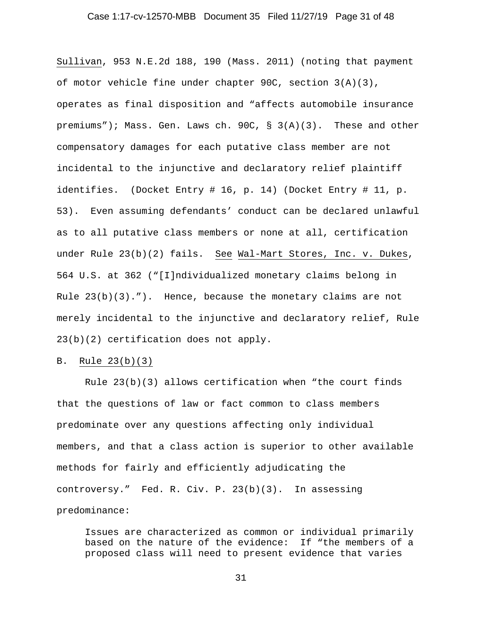## Case 1:17-cv-12570-MBB Document 35 Filed 11/27/19 Page 31 of 48

Sullivan, 953 N.E.2d 188, 190 (Mass. 2011) (noting that payment of motor vehicle fine under chapter 90C, section 3(A)(3), operates as final disposition and "affects automobile insurance premiums"); Mass. Gen. Laws ch. 90C, § 3(A)(3). These and other compensatory damages for each putative class member are not incidental to the injunctive and declaratory relief plaintiff identifies. (Docket Entry # 16, p. 14) (Docket Entry # 11, p. 53). Even assuming defendants' conduct can be declared unlawful as to all putative class members or none at all, certification under Rule 23(b)(2) fails. See Wal-Mart Stores, Inc. v. Dukes, 564 U.S. at 362 ("[I]ndividualized monetary claims belong in Rule 23(b)(3)."). Hence, because the monetary claims are not merely incidental to the injunctive and declaratory relief, Rule 23(b)(2) certification does not apply.

#### B. Rule 23(b)(3)

 Rule 23(b)(3) allows certification when "the court finds that the questions of law or fact common to class members predominate over any questions affecting only individual members, and that a class action is superior to other available methods for fairly and efficiently adjudicating the controversy." Fed. R. Civ. P. 23(b)(3). In assessing predominance:

Issues are characterized as common or individual primarily based on the nature of the evidence: If "the members of a proposed class will need to present evidence that varies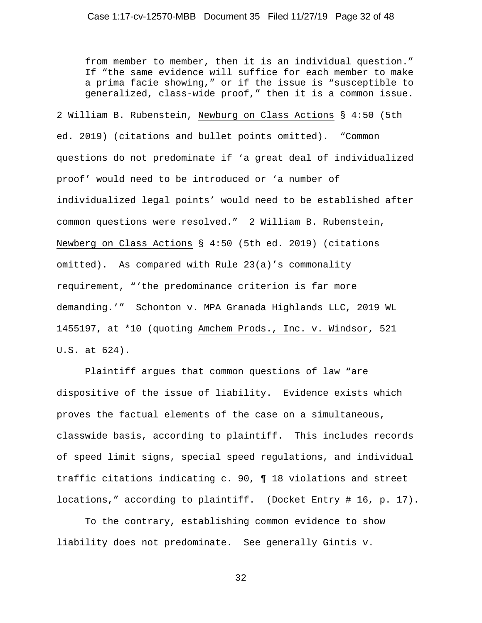from member to member, then it is an individual question." If "the same evidence will suffice for each member to make a prima facie showing," or if the issue is "susceptible to generalized, class-wide proof," then it is a common issue.

2 William B. Rubenstein, Newburg on Class Actions § 4:50 (5th ed. 2019) (citations and bullet points omitted). "Common questions do not predominate if 'a great deal of individualized proof' would need to be introduced or 'a number of individualized legal points' would need to be established after common questions were resolved." 2 William B. Rubenstein, Newberg on Class Actions § 4:50 (5th ed. 2019) (citations omitted). As compared with Rule 23(a)'s commonality requirement, "'the predominance criterion is far more demanding.'" Schonton v. MPA Granada Highlands LLC, 2019 WL 1455197, at \*10 (quoting Amchem Prods., Inc. v. Windsor, 521 U.S. at 624).

 Plaintiff argues that common questions of law "are dispositive of the issue of liability. Evidence exists which proves the factual elements of the case on a simultaneous, classwide basis, according to plaintiff. This includes records of speed limit signs, special speed regulations, and individual traffic citations indicating c. 90, ¶ 18 violations and street locations," according to plaintiff. (Docket Entry # 16, p. 17).

 To the contrary, establishing common evidence to show liability does not predominate. See generally Gintis v.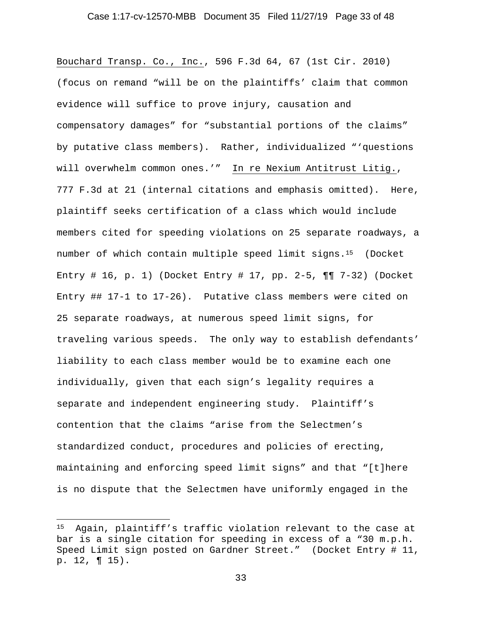#### Case 1:17-cv-12570-MBB Document 35 Filed 11/27/19 Page 33 of 48

Bouchard Transp. Co., Inc., 596 F.3d 64, 67 (1st Cir. 2010) (focus on remand "will be on the plaintiffs' claim that common evidence will suffice to prove injury, causation and compensatory damages" for "substantial portions of the claims" by putative class members). Rather, individualized "'questions will overwhelm common ones.'" In re Nexium Antitrust Litig., 777 F.3d at 21 (internal citations and emphasis omitted). Here, plaintiff seeks certification of a class which would include members cited for speeding violations on 25 separate roadways, a number of which contain multiple speed limit signs.15 (Docket Entry # 16, p. 1) (Docket Entry # 17, pp. 2-5,  $\P\P$  7-32) (Docket Entry ## 17-1 to 17-26). Putative class members were cited on 25 separate roadways, at numerous speed limit signs, for traveling various speeds. The only way to establish defendants' liability to each class member would be to examine each one individually, given that each sign's legality requires a separate and independent engineering study. Plaintiff's contention that the claims "arise from the Selectmen's standardized conduct, procedures and policies of erecting, maintaining and enforcing speed limit signs" and that "[t]here is no dispute that the Selectmen have uniformly engaged in the

<sup>15</sup> Again, plaintiff's traffic violation relevant to the case at bar is a single citation for speeding in excess of a "30 m.p.h. Speed Limit sign posted on Gardner Street." (Docket Entry # 11, p. 12, ¶ 15).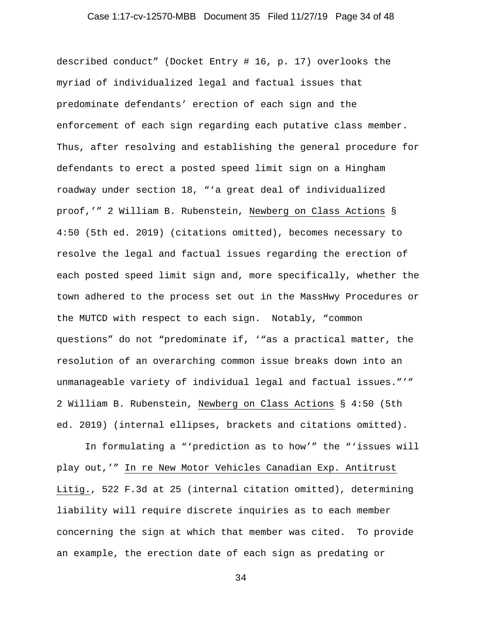## Case 1:17-cv-12570-MBB Document 35 Filed 11/27/19 Page 34 of 48

described conduct" (Docket Entry # 16, p. 17) overlooks the myriad of individualized legal and factual issues that predominate defendants' erection of each sign and the enforcement of each sign regarding each putative class member. Thus, after resolving and establishing the general procedure for defendants to erect a posted speed limit sign on a Hingham roadway under section 18, "'a great deal of individualized proof,'" 2 William B. Rubenstein, Newberg on Class Actions § 4:50 (5th ed. 2019) (citations omitted), becomes necessary to resolve the legal and factual issues regarding the erection of each posted speed limit sign and, more specifically, whether the town adhered to the process set out in the MassHwy Procedures or the MUTCD with respect to each sign. Notably, "common questions" do not "predominate if, '"as a practical matter, the resolution of an overarching common issue breaks down into an unmanageable variety of individual legal and factual issues."'" 2 William B. Rubenstein, Newberg on Class Actions § 4:50 (5th ed. 2019) (internal ellipses, brackets and citations omitted).

 In formulating a "'prediction as to how'" the "'issues will play out,'" In re New Motor Vehicles Canadian Exp. Antitrust Litig., 522 F.3d at 25 (internal citation omitted), determining liability will require discrete inquiries as to each member concerning the sign at which that member was cited. To provide an example, the erection date of each sign as predating or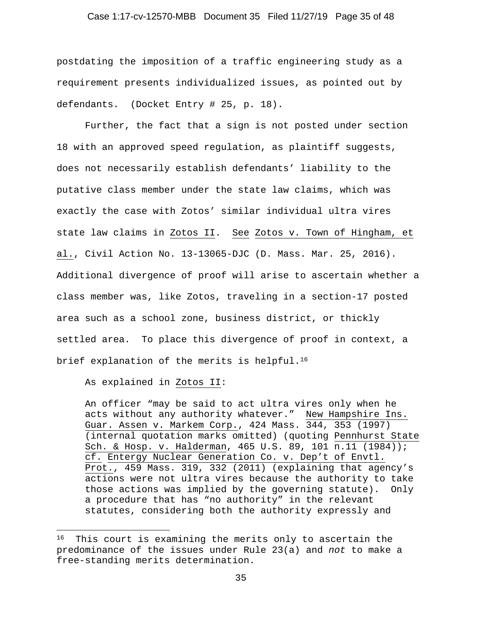#### Case 1:17-cv-12570-MBB Document 35 Filed 11/27/19 Page 35 of 48

postdating the imposition of a traffic engineering study as a requirement presents individualized issues, as pointed out by defendants. (Docket Entry # 25, p. 18).

 Further, the fact that a sign is not posted under section 18 with an approved speed regulation, as plaintiff suggests, does not necessarily establish defendants' liability to the putative class member under the state law claims, which was exactly the case with Zotos' similar individual ultra vires state law claims in Zotos II. See Zotos v. Town of Hingham, et al., Civil Action No. 13-13065-DJC (D. Mass. Mar. 25, 2016). Additional divergence of proof will arise to ascertain whether a class member was, like Zotos, traveling in a section-17 posted area such as a school zone, business district, or thickly settled area. To place this divergence of proof in context, a brief explanation of the merits is helpful.<sup>16</sup>

As explained in Zotos II:

An officer "may be said to act ultra vires only when he acts without any authority whatever." New Hampshire Ins. Guar. Assen v. Markem Corp., 424 Mass. 344, 353 (1997) (internal quotation marks omitted) (quoting Pennhurst State Sch. & Hosp. v. Halderman, 465 U.S. 89, 101 n.11 (1984)); cf. Entergy Nuclear Generation Co. v. Dep't of Envtl. Prot., 459 Mass. 319, 332 (2011) (explaining that agency's actions were not ultra vires because the authority to take those actions was implied by the governing statute). Only a procedure that has "no authority" in the relevant statutes, considering both the authority expressly and

<sup>&</sup>lt;sup>16</sup> This court is examining the merits only to ascertain the predominance of the issues under Rule 23(a) and *not* to make a free-standing merits determination.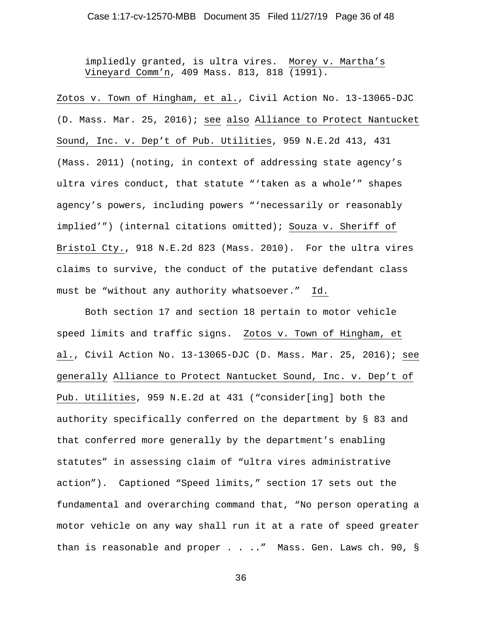impliedly granted, is ultra vires. Morey v. Martha's Vineyard Comm'n, 409 Mass. 813, 818 (1991).

Zotos v. Town of Hingham, et al., Civil Action No. 13-13065-DJC (D. Mass. Mar. 25, 2016); see also Alliance to Protect Nantucket Sound, Inc. v. Dep't of Pub. Utilities, 959 N.E.2d 413, 431 (Mass. 2011) (noting, in context of addressing state agency's ultra vires conduct, that statute "'taken as a whole'" shapes agency's powers, including powers "'necessarily or reasonably implied'") (internal citations omitted); Souza v. Sheriff of Bristol Cty., 918 N.E.2d 823 (Mass. 2010). For the ultra vires claims to survive, the conduct of the putative defendant class must be "without any authority whatsoever." Id.

Both section 17 and section 18 pertain to motor vehicle speed limits and traffic signs. Zotos v. Town of Hingham, et al., Civil Action No. 13-13065-DJC (D. Mass. Mar. 25, 2016); see generally Alliance to Protect Nantucket Sound, Inc. v. Dep't of Pub. Utilities, 959 N.E.2d at 431 ("consider[ing] both the authority specifically conferred on the department by § 83 and that conferred more generally by the department's enabling statutes" in assessing claim of "ultra vires administrative action"). Captioned "Speed limits," section 17 sets out the fundamental and overarching command that, "No person operating a motor vehicle on any way shall run it at a rate of speed greater than is reasonable and proper . . .." Mass. Gen. Laws ch. 90, §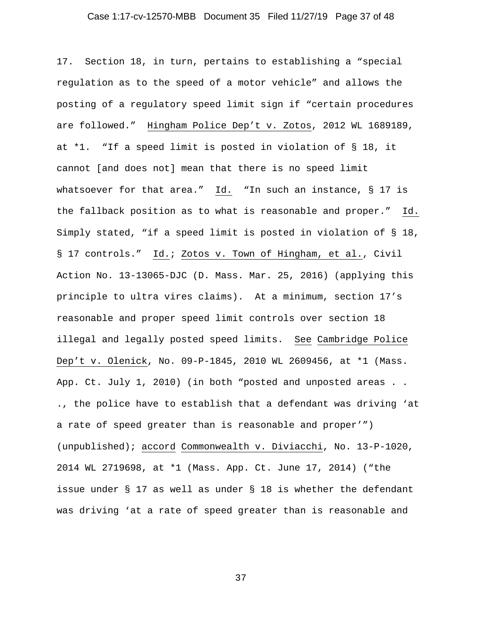## Case 1:17-cv-12570-MBB Document 35 Filed 11/27/19 Page 37 of 48

17. Section 18, in turn, pertains to establishing a "special regulation as to the speed of a motor vehicle" and allows the posting of a regulatory speed limit sign if "certain procedures are followed." Hingham Police Dep't v. Zotos, 2012 WL 1689189, at \*1. "If a speed limit is posted in violation of § 18, it cannot [and does not] mean that there is no speed limit whatsoever for that area." Id. "In such an instance, § 17 is the fallback position as to what is reasonable and proper." Id. Simply stated, "if a speed limit is posted in violation of § 18, § 17 controls." Id.; Zotos v. Town of Hingham, et al., Civil Action No. 13-13065-DJC (D. Mass. Mar. 25, 2016) (applying this principle to ultra vires claims). At a minimum, section 17's reasonable and proper speed limit controls over section 18 illegal and legally posted speed limits. See Cambridge Police Dep't v. Olenick, No. 09-P-1845, 2010 WL 2609456, at \*1 (Mass. App. Ct. July 1, 2010) (in both "posted and unposted areas . . ., the police have to establish that a defendant was driving 'at a rate of speed greater than is reasonable and proper'") (unpublished); accord Commonwealth v. Diviacchi, No. 13-P-1020, 2014 WL 2719698, at \*1 (Mass. App. Ct. June 17, 2014) ("the issue under § 17 as well as under § 18 is whether the defendant was driving 'at a rate of speed greater than is reasonable and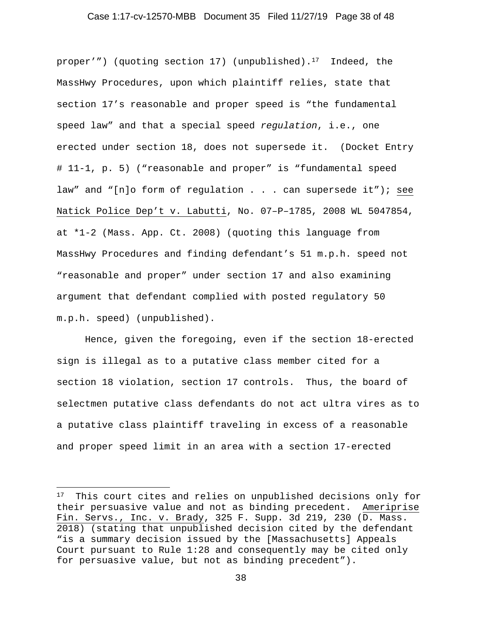#### Case 1:17-cv-12570-MBB Document 35 Filed 11/27/19 Page 38 of 48

proper'") (quoting section 17) (unpublished).<sup>17</sup> Indeed, the MassHwy Procedures, upon which plaintiff relies, state that section 17's reasonable and proper speed is "the fundamental speed law" and that a special speed *regulation*, i.e., one erected under section 18, does not supersede it. (Docket Entry # 11-1, p. 5) ("reasonable and proper" is "fundamental speed law" and "[n]o form of regulation . . . can supersede it"); see Natick Police Dep't v. Labutti, No. 07–P–1785, 2008 WL 5047854, at \*1-2 (Mass. App. Ct. 2008) (quoting this language from MassHwy Procedures and finding defendant's 51 m.p.h. speed not "reasonable and proper" under section 17 and also examining argument that defendant complied with posted regulatory 50 m.p.h. speed) (unpublished).

 Hence, given the foregoing, even if the section 18-erected sign is illegal as to a putative class member cited for a section 18 violation, section 17 controls. Thus, the board of selectmen putative class defendants do not act ultra vires as to a putative class plaintiff traveling in excess of a reasonable and proper speed limit in an area with a section 17-erected

<sup>17</sup> This court cites and relies on unpublished decisions only for their persuasive value and not as binding precedent. Ameriprise Fin. Servs., Inc. v. Brady, 325 F. Supp. 3d 219, 230 (D. Mass. 2018) (stating that unpublished decision cited by the defendant "is a summary decision issued by the [Massachusetts] Appeals Court pursuant to Rule 1:28 and consequently may be cited only for persuasive value, but not as binding precedent").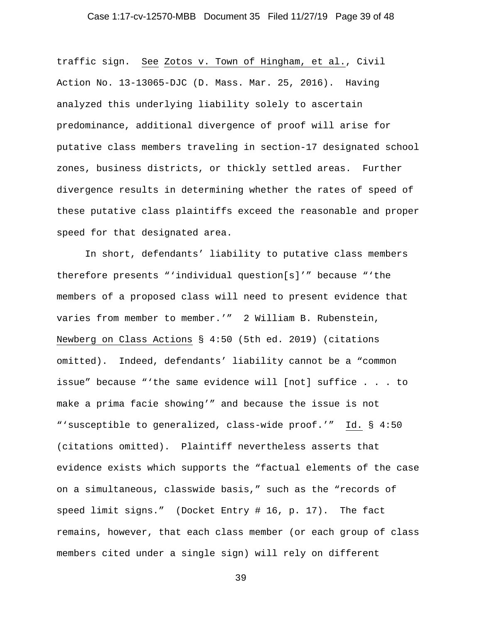## Case 1:17-cv-12570-MBB Document 35 Filed 11/27/19 Page 39 of 48

traffic sign. See Zotos v. Town of Hingham, et al., Civil Action No. 13-13065-DJC (D. Mass. Mar. 25, 2016). Having analyzed this underlying liability solely to ascertain predominance, additional divergence of proof will arise for putative class members traveling in section-17 designated school zones, business districts, or thickly settled areas. Further divergence results in determining whether the rates of speed of these putative class plaintiffs exceed the reasonable and proper speed for that designated area.

 In short, defendants' liability to putative class members therefore presents "'individual question[s]'" because "'the members of a proposed class will need to present evidence that varies from member to member.'" 2 William B. Rubenstein, Newberg on Class Actions § 4:50 (5th ed. 2019) (citations omitted). Indeed, defendants' liability cannot be a "common issue" because "'the same evidence will [not] suffice . . . to make a prima facie showing'" and because the issue is not "'susceptible to generalized, class-wide proof.'" Id. § 4:50 (citations omitted). Plaintiff nevertheless asserts that evidence exists which supports the "factual elements of the case on a simultaneous, classwide basis," such as the "records of speed limit signs." (Docket Entry # 16, p. 17). The fact remains, however, that each class member (or each group of class members cited under a single sign) will rely on different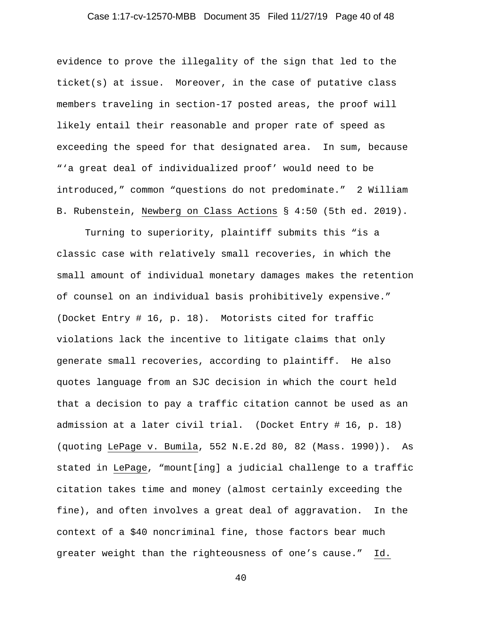## Case 1:17-cv-12570-MBB Document 35 Filed 11/27/19 Page 40 of 48

evidence to prove the illegality of the sign that led to the ticket(s) at issue. Moreover, in the case of putative class members traveling in section-17 posted areas, the proof will likely entail their reasonable and proper rate of speed as exceeding the speed for that designated area. In sum, because "'a great deal of individualized proof' would need to be introduced," common "questions do not predominate." 2 William B. Rubenstein, Newberg on Class Actions § 4:50 (5th ed. 2019).

 Turning to superiority, plaintiff submits this "is a classic case with relatively small recoveries, in which the small amount of individual monetary damages makes the retention of counsel on an individual basis prohibitively expensive." (Docket Entry # 16, p. 18). Motorists cited for traffic violations lack the incentive to litigate claims that only generate small recoveries, according to plaintiff. He also quotes language from an SJC decision in which the court held that a decision to pay a traffic citation cannot be used as an admission at a later civil trial. (Docket Entry # 16, p. 18) (quoting LePage v. Bumila, 552 N.E.2d 80, 82 (Mass. 1990)). As stated in LePage, "mount[ing] a judicial challenge to a traffic citation takes time and money (almost certainly exceeding the fine), and often involves a great deal of aggravation. In the context of a \$40 noncriminal fine, those factors bear much greater weight than the righteousness of one's cause." Id.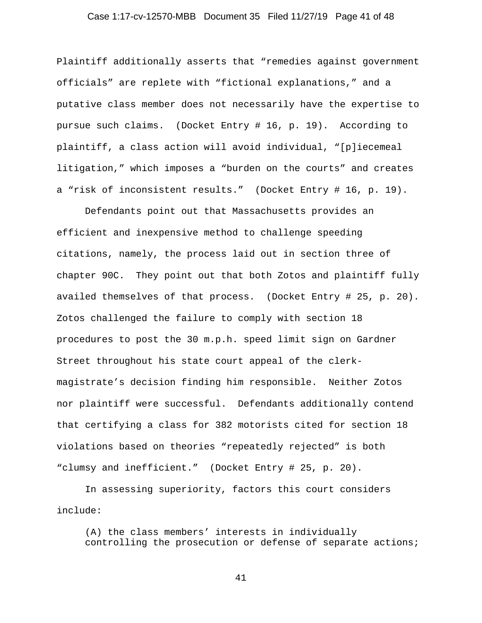## Case 1:17-cv-12570-MBB Document 35 Filed 11/27/19 Page 41 of 48

Plaintiff additionally asserts that "remedies against government officials" are replete with "fictional explanations," and a putative class member does not necessarily have the expertise to pursue such claims. (Docket Entry # 16, p. 19). According to plaintiff, a class action will avoid individual, "[p]iecemeal litigation," which imposes a "burden on the courts" and creates a "risk of inconsistent results." (Docket Entry # 16, p. 19).

 Defendants point out that Massachusetts provides an efficient and inexpensive method to challenge speeding citations, namely, the process laid out in section three of chapter 90C. They point out that both Zotos and plaintiff fully availed themselves of that process. (Docket Entry # 25, p. 20). Zotos challenged the failure to comply with section 18 procedures to post the 30 m.p.h. speed limit sign on Gardner Street throughout his state court appeal of the clerkmagistrate's decision finding him responsible. Neither Zotos nor plaintiff were successful. Defendants additionally contend that certifying a class for 382 motorists cited for section 18 violations based on theories "repeatedly rejected" is both "clumsy and inefficient." (Docket Entry # 25, p. 20).

 In assessing superiority, factors this court considers include:

(A) the class members' interests in individually controlling the prosecution or defense of separate actions;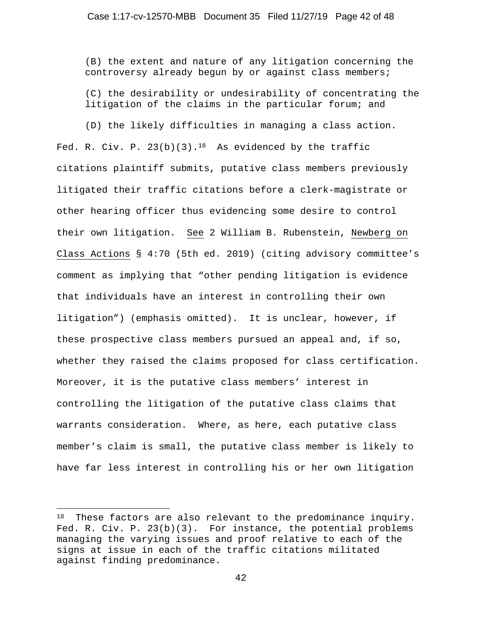(B) the extent and nature of any litigation concerning the controversy already begun by or against class members;

(C) the desirability or undesirability of concentrating the litigation of the claims in the particular forum; and

 (D) the likely difficulties in managing a class action. Fed. R. Civ. P.  $23(b)(3)$ .<sup>18</sup> As evidenced by the traffic citations plaintiff submits, putative class members previously litigated their traffic citations before a clerk-magistrate or other hearing officer thus evidencing some desire to control their own litigation. See 2 William B. Rubenstein, Newberg on Class Actions § 4:70 (5th ed. 2019) (citing advisory committee's comment as implying that "other pending litigation is evidence that individuals have an interest in controlling their own litigation") (emphasis omitted). It is unclear, however, if these prospective class members pursued an appeal and, if so, whether they raised the claims proposed for class certification. Moreover, it is the putative class members' interest in controlling the litigation of the putative class claims that warrants consideration. Where, as here, each putative class member's claim is small, the putative class member is likely to have far less interest in controlling his or her own litigation

<sup>&</sup>lt;sup>18</sup> These factors are also relevant to the predominance inquiry. Fed. R. Civ. P. 23(b)(3). For instance, the potential problems managing the varying issues and proof relative to each of the signs at issue in each of the traffic citations militated against finding predominance.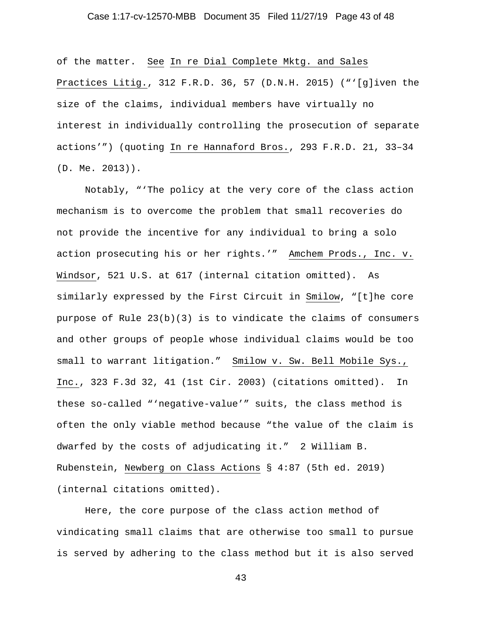## Case 1:17-cv-12570-MBB Document 35 Filed 11/27/19 Page 43 of 48

of the matter. See In re Dial Complete Mktg. and Sales Practices Litig., 312 F.R.D. 36, 57 (D.N.H. 2015) ("'[g]iven the size of the claims, individual members have virtually no interest in individually controlling the prosecution of separate actions'") (quoting In re Hannaford Bros., 293 F.R.D. 21, 33–34 (D. Me. 2013)).

 Notably, "'The policy at the very core of the class action mechanism is to overcome the problem that small recoveries do not provide the incentive for any individual to bring a solo action prosecuting his or her rights.'" Amchem Prods., Inc. v. Windsor, 521 U.S. at 617 (internal citation omitted). As similarly expressed by the First Circuit in Smilow, "[t]he core purpose of Rule  $23(b)(3)$  is to vindicate the claims of consumers and other groups of people whose individual claims would be too small to warrant litigation." Smilow v. Sw. Bell Mobile Sys., Inc., 323 F.3d 32, 41 (1st Cir. 2003) (citations omitted). In these so-called "'negative-value'" suits, the class method is often the only viable method because "the value of the claim is dwarfed by the costs of adjudicating it." 2 William B. Rubenstein, Newberg on Class Actions § 4:87 (5th ed. 2019) (internal citations omitted).

 Here, the core purpose of the class action method of vindicating small claims that are otherwise too small to pursue is served by adhering to the class method but it is also served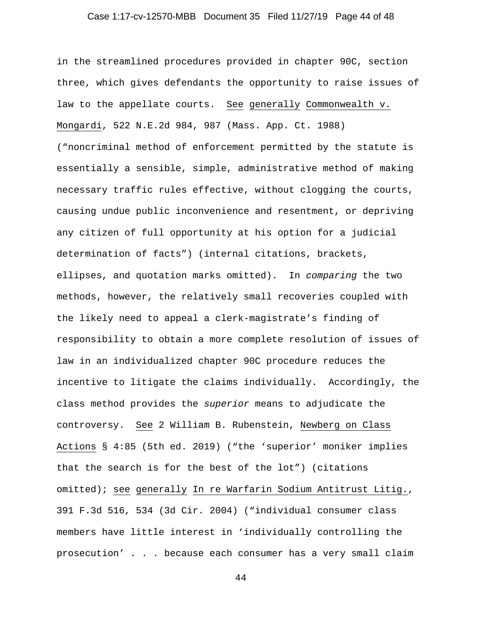## Case 1:17-cv-12570-MBB Document 35 Filed 11/27/19 Page 44 of 48

in the streamlined procedures provided in chapter 90C, section three, which gives defendants the opportunity to raise issues of law to the appellate courts. See generally Commonwealth v. Mongardi, 522 N.E.2d 984, 987 (Mass. App. Ct. 1988) ("noncriminal method of enforcement permitted by the statute is essentially a sensible, simple, administrative method of making necessary traffic rules effective, without clogging the courts, causing undue public inconvenience and resentment, or depriving any citizen of full opportunity at his option for a judicial determination of facts") (internal citations, brackets, ellipses, and quotation marks omitted). In *comparing* the two methods, however, the relatively small recoveries coupled with the likely need to appeal a clerk-magistrate's finding of responsibility to obtain a more complete resolution of issues of law in an individualized chapter 90C procedure reduces the incentive to litigate the claims individually. Accordingly, the class method provides the *superior* means to adjudicate the controversy. See 2 William B. Rubenstein, Newberg on Class Actions § 4:85 (5th ed. 2019) ("the 'superior' moniker implies that the search is for the best of the lot") (citations omitted); see generally In re Warfarin Sodium Antitrust Litig., 391 F.3d 516, 534 (3d Cir. 2004) ("individual consumer class members have little interest in 'individually controlling the prosecution' . . . because each consumer has a very small claim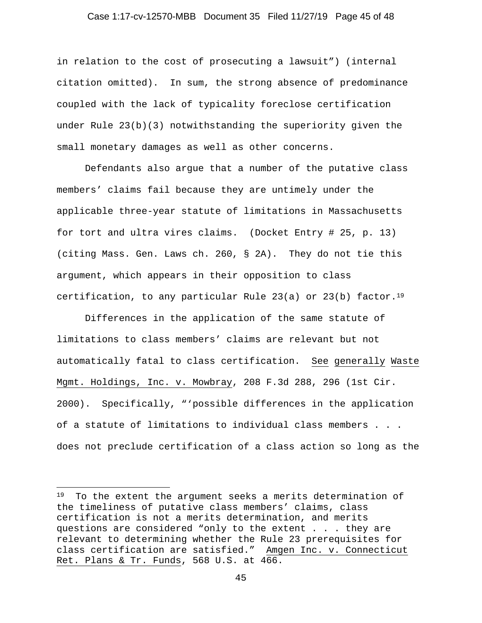## Case 1:17-cv-12570-MBB Document 35 Filed 11/27/19 Page 45 of 48

in relation to the cost of prosecuting a lawsuit") (internal citation omitted). In sum, the strong absence of predominance coupled with the lack of typicality foreclose certification under Rule 23(b)(3) notwithstanding the superiority given the small monetary damages as well as other concerns.

 Defendants also argue that a number of the putative class members' claims fail because they are untimely under the applicable three-year statute of limitations in Massachusetts for tort and ultra vires claims. (Docket Entry # 25, p. 13) (citing Mass. Gen. Laws ch. 260, § 2A). They do not tie this argument, which appears in their opposition to class certification, to any particular Rule 23(a) or 23(b) factor.<sup>19</sup>

 Differences in the application of the same statute of limitations to class members' claims are relevant but not automatically fatal to class certification. See generally Waste Mgmt. Holdings, Inc. v. Mowbray, 208 F.3d 288, 296 (1st Cir. 2000). Specifically, "'possible differences in the application of a statute of limitations to individual class members . . . does not preclude certification of a class action so long as the

<sup>&</sup>lt;sup>19</sup> To the extent the argument seeks a merits determination of the timeliness of putative class members' claims, class certification is not a merits determination, and merits questions are considered "only to the extent . . . they are relevant to determining whether the Rule 23 prerequisites for class certification are satisfied." Amgen Inc. v. Connecticut Ret. Plans & Tr. Funds, 568 U.S. at 466.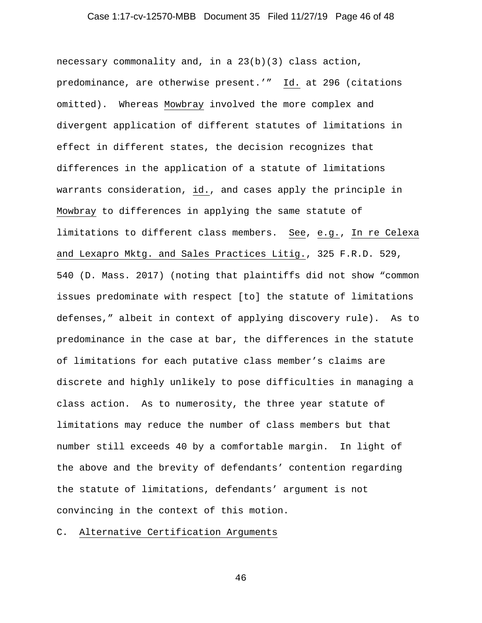## Case 1:17-cv-12570-MBB Document 35 Filed 11/27/19 Page 46 of 48

necessary commonality and, in a 23(b)(3) class action, predominance, are otherwise present.'" Id. at 296 (citations omitted). Whereas Mowbray involved the more complex and divergent application of different statutes of limitations in effect in different states, the decision recognizes that differences in the application of a statute of limitations warrants consideration, id., and cases apply the principle in Mowbray to differences in applying the same statute of limitations to different class members. See, e.g., In re Celexa and Lexapro Mktg. and Sales Practices Litig., 325 F.R.D. 529, 540 (D. Mass. 2017) (noting that plaintiffs did not show "common issues predominate with respect [to] the statute of limitations defenses," albeit in context of applying discovery rule). As to predominance in the case at bar, the differences in the statute of limitations for each putative class member's claims are discrete and highly unlikely to pose difficulties in managing a class action. As to numerosity, the three year statute of limitations may reduce the number of class members but that number still exceeds 40 by a comfortable margin. In light of the above and the brevity of defendants' contention regarding the statute of limitations, defendants' argument is not convincing in the context of this motion.

# C. Alternative Certification Arguments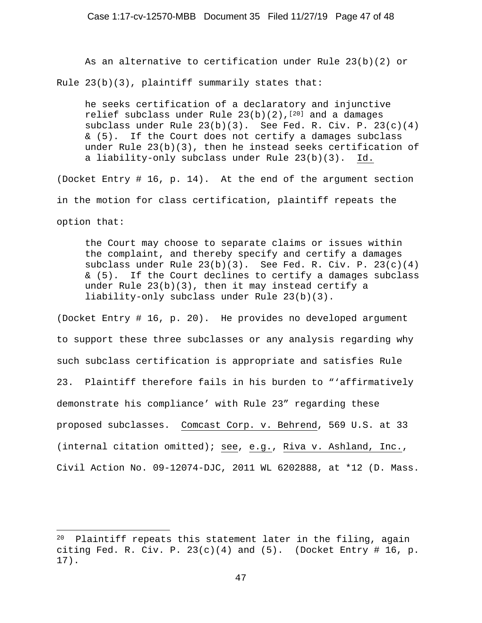As an alternative to certification under Rule 23(b)(2) or Rule  $23(b)(3)$ , plaintiff summarily states that:

he seeks certification of a declaratory and injunctive relief subclass under Rule  $23(b)(2)$ ,  $[20]$  and a damages subclass under Rule 23(b)(3). See Fed. R. Civ. P. 23(c)(4) & (5). If the Court does not certify a damages subclass under Rule 23(b)(3), then he instead seeks certification of a liability-only subclass under Rule 23(b)(3). Id.

(Docket Entry # 16, p. 14). At the end of the argument section in the motion for class certification, plaintiff repeats the option that:

the Court may choose to separate claims or issues within the complaint, and thereby specify and certify a damages subclass under Rule  $23(b)(3)$ . See Fed. R. Civ. P.  $23(c)(4)$ & (5). If the Court declines to certify a damages subclass under Rule 23(b)(3), then it may instead certify a liability-only subclass under Rule 23(b)(3).

(Docket Entry # 16, p. 20). He provides no developed argument to support these three subclasses or any analysis regarding why such subclass certification is appropriate and satisfies Rule 23. Plaintiff therefore fails in his burden to "'affirmatively demonstrate his compliance' with Rule 23" regarding these proposed subclasses. Comcast Corp. v. Behrend, 569 U.S. at 33 (internal citation omitted); see, e.g., Riva v. Ashland, Inc., Civil Action No. 09-12074-DJC, 2011 WL 6202888, at \*12 (D. Mass.

<sup>20</sup> Plaintiff repeats this statement later in the filing, again citing Fed. R. Civ. P.  $23(c)(4)$  and  $(5)$ . (Docket Entry # 16, p. 17).